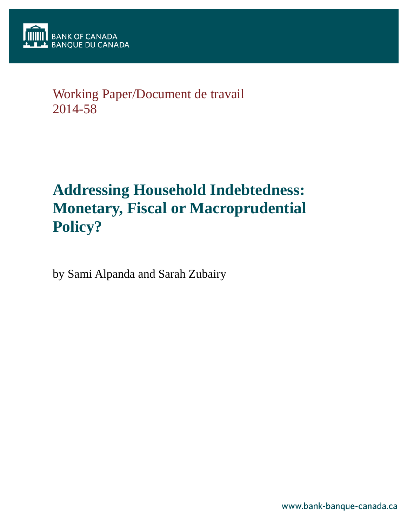

## Working Paper/Document de travail 2014-58

# **Addressing Household Indebtedness: Monetary, Fiscal or Macroprudential Policy?**

by Sami Alpanda and Sarah Zubairy

www.bank-banque-canada.ca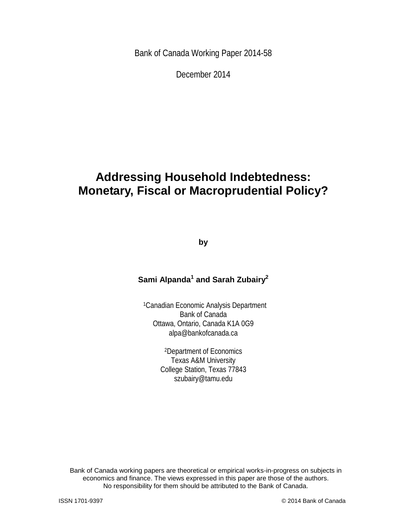Bank of Canada Working Paper 2014-58

December 2014

## **Addressing Household Indebtedness: Monetary, Fiscal or Macroprudential Policy?**

**by**

## **Sami Alpanda<sup>1</sup> and Sarah Zubairy2**

1Canadian Economic Analysis Department Bank of Canada Ottawa, Ontario, Canada K1A 0G9 alpa@bankofcanada.ca

> 2Department of Economics Texas A&M University College Station, Texas 77843 szubairy@tamu.edu

Bank of Canada working papers are theoretical or empirical works-in-progress on subjects in economics and finance. The views expressed in this paper are those of the authors. No responsibility for them should be attributed to the Bank of Canada.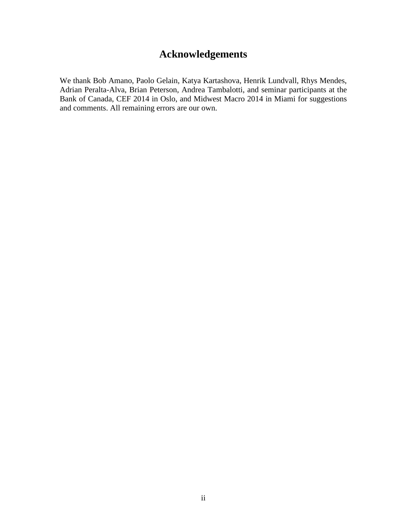## **Acknowledgements**

We thank Bob Amano, Paolo Gelain, Katya Kartashova, Henrik Lundvall, Rhys Mendes, Adrian Peralta-Alva, Brian Peterson, Andrea Tambalotti, and seminar participants at the Bank of Canada, CEF 2014 in Oslo, and Midwest Macro 2014 in Miami for suggestions and comments. All remaining errors are our own.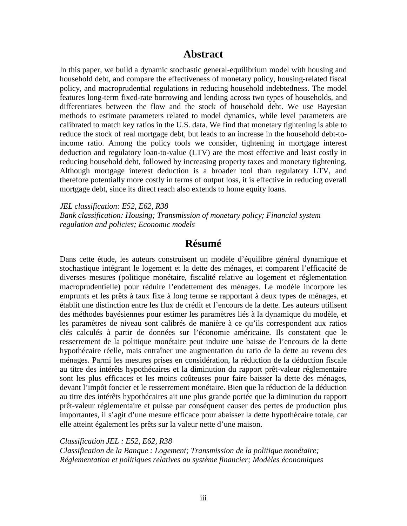## **Abstract**

In this paper, we build a dynamic stochastic general-equilibrium model with housing and household debt, and compare the effectiveness of monetary policy, housing-related fiscal policy, and macroprudential regulations in reducing household indebtedness. The model features long-term fixed-rate borrowing and lending across two types of households, and differentiates between the flow and the stock of household debt. We use Bayesian methods to estimate parameters related to model dynamics, while level parameters are calibrated to match key ratios in the U.S. data. We find that monetary tightening is able to reduce the stock of real mortgage debt, but leads to an increase in the household debt-toincome ratio. Among the policy tools we consider, tightening in mortgage interest deduction and regulatory loan-to-value (LTV) are the most effective and least costly in reducing household debt, followed by increasing property taxes and monetary tightening. Although mortgage interest deduction is a broader tool than regulatory LTV, and therefore potentially more costly in terms of output loss, it is effective in reducing overall mortgage debt, since its direct reach also extends to home equity loans.

*JEL classification: E52, E62, R38 Bank classification: Housing; Transmission of monetary policy; Financial system regulation and policies; Economic models*

## **Résumé**

Dans cette étude, les auteurs construisent un modèle d'équilibre général dynamique et stochastique intégrant le logement et la dette des ménages, et comparent l'efficacité de diverses mesures (politique monétaire, fiscalité relative au logement et réglementation macroprudentielle) pour réduire l'endettement des ménages. Le modèle incorpore les emprunts et les prêts à taux fixe à long terme se rapportant à deux types de ménages, et établit une distinction entre les flux de crédit et l'encours de la dette. Les auteurs utilisent des méthodes bayésiennes pour estimer les paramètres liés à la dynamique du modèle, et les paramètres de niveau sont calibrés de manière à ce qu'ils correspondent aux ratios clés calculés à partir de données sur l'économie américaine. Ils constatent que le resserrement de la politique monétaire peut induire une baisse de l'encours de la dette hypothécaire réelle, mais entraîner une augmentation du ratio de la dette au revenu des ménages. Parmi les mesures prises en considération, la réduction de la déduction fiscale au titre des intérêts hypothécaires et la diminution du rapport prêt-valeur réglementaire sont les plus efficaces et les moins coûteuses pour faire baisser la dette des ménages, devant l'impôt foncier et le resserrement monétaire. Bien que la réduction de la déduction au titre des intérêts hypothécaires ait une plus grande portée que la diminution du rapport prêt-valeur réglementaire et puisse par conséquent causer des pertes de production plus importantes, il s'agit d'une mesure efficace pour abaisser la dette hypothécaire totale, car elle atteint également les prêts sur la valeur nette d'une maison.

*Classification JEL : E52, E62, R38 Classification de la Banque : Logement; Transmission de la politique monétaire; Réglementation et politiques relatives au système financier; Modèles économiques*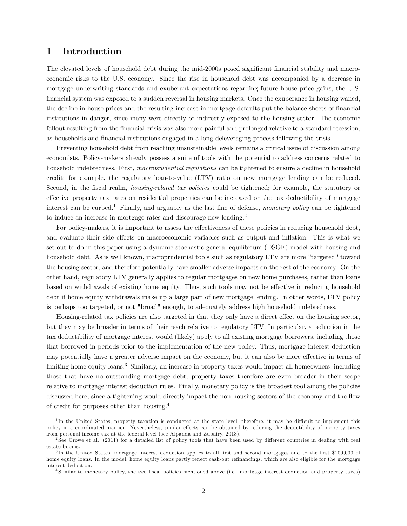## 1 Introduction

The elevated levels of household debt during the mid-2000s posed significant financial stability and macroeconomic risks to the U.S. economy. Since the rise in household debt was accompanied by a decrease in mortgage underwriting standards and exuberant expectations regarding future house price gains, the U.S. Önancial system was exposed to a sudden reversal in housing markets. Once the exuberance in housing waned, the decline in house prices and the resulting increase in mortgage defaults put the balance sheets of financial institutions in danger, since many were directly or indirectly exposed to the housing sector. The economic fallout resulting from the financial crisis was also more painful and prolonged relative to a standard recession, as households and financial institutions engaged in a long deleveraging process following the crisis.

Preventing household debt from reaching unsustainable levels remains a critical issue of discussion among economists. Policy-makers already possess a suite of tools with the potential to address concerns related to household indebtedness. First, *macroprudential regulations* can be tightened to ensure a decline in household credit; for example, the regulatory loan-to-value (LTV) ratio on new mortgage lending can be reduced. Second, in the fiscal realm, *housing-related tax policies* could be tightened; for example, the statutory or effective property tax rates on residential properties can be increased or the tax deductibility of mortgage interest can be curbed.<sup>1</sup> Finally, and arguably as the last line of defense, monetary policy can be tightened to induce an increase in mortgage rates and discourage new lending.<sup>2</sup>

For policy-makers, it is important to assess the effectiveness of these policies in reducing household debt, and evaluate their side effects on macroeconomic variables such as output and inflation. This is what we set out to do in this paper using a dynamic stochastic general-equilibrium (DSGE) model with housing and household debt. As is well known, macroprudential tools such as regulatory LTV are more "targeted" toward the housing sector, and therefore potentially have smaller adverse impacts on the rest of the economy. On the other hand, regulatory LTV generally applies to regular mortgages on new home purchases, rather than loans based on withdrawals of existing home equity. Thus, such tools may not be effective in reducing household debt if home equity withdrawals make up a large part of new mortgage lending. In other words, LTV policy is perhaps too targeted, or not "broad" enough, to adequately address high household indebtedness.

Housing-related tax policies are also targeted in that they only have a direct effect on the housing sector, but they may be broader in terms of their reach relative to regulatory LTV. In particular, a reduction in the tax deductibility of mortgage interest would (likely) apply to all existing mortgage borrowers, including those that borrowed in periods prior to the implementation of the new policy. Thus, mortgage interest deduction may potentially have a greater adverse impact on the economy, but it can also be more effective in terms of limiting home equity loans.<sup>3</sup> Similarly, an increase in property taxes would impact all homeowners, including those that have no outstanding mortgage debt; property taxes therefore are even broader in their scope relative to mortgage interest deduction rules. Finally, monetary policy is the broadest tool among the policies discussed here, since a tightening would directly impact the non-housing sectors of the economy and the flow of credit for purposes other than housing.<sup>4</sup>

<sup>&</sup>lt;sup>1</sup>In the United States, property taxation is conducted at the state level; therefore, it may be difficult to implement this policy in a coordinated manner. Nevertheless, similar effects can be obtained by reducing the deductibility of property taxes from personal income tax at the federal level (see Alpanda and Zubairy, 2013).

<sup>&</sup>lt;sup>2</sup> See Crowe et al. (2011) for a detailed list of policy tools that have been used by different countries in dealing with real estate booms.

<sup>&</sup>lt;sup>3</sup>In the United States, mortgage interest deduction applies to all first and second mortgages and to the first \$100,000 of home equity loans. In the model, home equity loans partly reflect cash-out refinancings, which are also eligible for the mortgage interest deduction.

<sup>&</sup>lt;sup>4</sup> Similar to monetary policy, the two fiscal policies mentioned above (i.e., mortgage interest deduction and property taxes)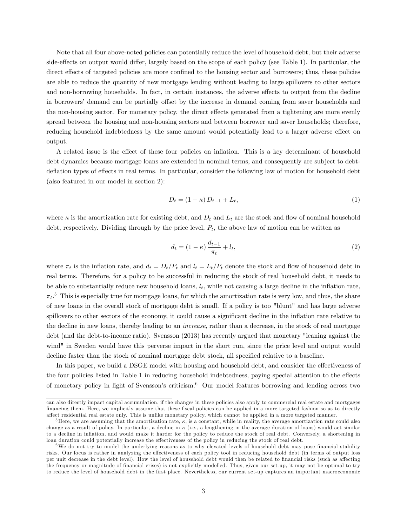Note that all four above-noted policies can potentially reduce the level of household debt, but their adverse side-effects on output would differ, largely based on the scope of each policy (see Table 1). In particular, the direct effects of targeted policies are more confined to the housing sector and borrowers; thus, these policies are able to reduce the quantity of new mortgage lending without leading to large spillovers to other sectors and non-borrowing households. In fact, in certain instances, the adverse effects to output from the decline in borrowers' demand can be partially offset by the increase in demand coming from saver households and the non-housing sector. For monetary policy, the direct effects generated from a tightening are more evenly spread between the housing and non-housing sectors and between borrower and saver households; therefore, reducing household indebtedness by the same amount would potentially lead to a larger adverse effect on output.

A related issue is the effect of these four policies on inflation. This is a key determinant of household debt dynamics because mortgage loans are extended in nominal terms, and consequently are subject to debtdeflation types of effects in real terms. In particular, consider the following law of motion for household debt (also featured in our model in section 2):

$$
D_t = (1 - \kappa) D_{t-1} + L_t, \tag{1}
$$

where  $\kappa$  is the amortization rate for existing debt, and  $D_t$  and  $L_t$  are the stock and flow of nominal household debt, respectively. Dividing through by the price level,  $P_t$ , the above law of motion can be written as

$$
d_t = (1 - \kappa) \frac{d_{t-1}}{\pi_t} + l_t,\tag{2}
$$

where  $\pi_t$  is the inflation rate, and  $d_t = D_t/P_t$  and  $l_t = L_t/P_t$  denote the stock and flow of household debt in real terms. Therefore, for a policy to be successful in reducing the stock of real household debt, it needs to be able to substantially reduce new household loans,  $l_t$ , while not causing a large decline in the inflation rate,  $\pi_t$ <sup>5</sup> This is especially true for mortgage loans, for which the amortization rate is very low, and thus, the share of new loans in the overall stock of mortgage debt is small. If a policy is too "blunt" and has large adverse spillovers to other sectors of the economy, it could cause a significant decline in the inflation rate relative to the decline in new loans, thereby leading to an increase, rather than a decrease, in the stock of real mortgage debt (and the debt-to-income ratio). Svensson (2013) has recently argued that monetary "leaning against the wind" in Sweden would have this perverse impact in the short run, since the price level and output would decline faster than the stock of nominal mortgage debt stock, all specified relative to a baseline.

In this paper, we build a DSGE model with housing and household debt, and consider the effectiveness of the four policies listed in Table 1 in reducing household indebtedness, paying special attention to the effects of monetary policy in light of Svensson's criticism.<sup>6</sup> Our model features borrowing and lending across two

can also directly impact capital accumulation, if the changes in these policies also apply to commercial real estate and mortgages financing them. Here, we implicitly assume that these fiscal policies can be applied in a more targeted fashion so as to directly affect residential real estate only. This is unlike monetary policy, which cannot be applied in a more targeted manner.

<sup>&</sup>lt;sup>5</sup>Here, we are assuming that the amortization rate,  $\kappa$ , is a constant, while in reality, the average amortization rate could also change as a result of policy. In particular, a decline in  $\kappa$  (i.e., a lengthening in the average duration of loans) would act similar to a decline in ináation, and would make it harder for the policy to reduce the stock of real debt. Conversely, a shortening in loan duration could potentially increase the effectiveness of the policy in reducing the stock of real debt.

 $6W$ e do not try to model the underlying reasons as to why elevated levels of household debt may pose financial stability risks. Our focus is rather in analyzing the effectiveness of each policy tool in reducing household debt (in terms of output loss per unit decrease in the debt level). How the level of household debt would then be related to financial risks (such as affecting the frequency or magnitude of financial crises) is not explicitly modelled. Thus, given our set-up, it may not be optimal to try to reduce the level of household debt in the first place. Nevertheless, our current set-up captures an important macroeconomic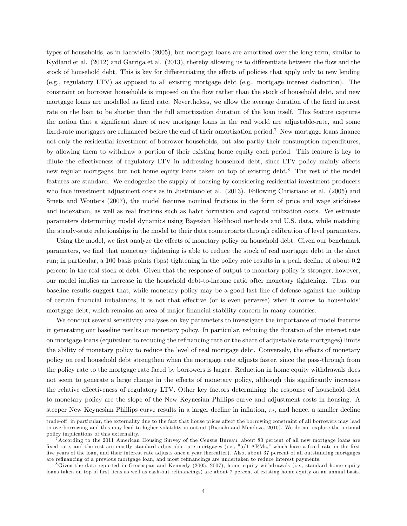types of households, as in Iacoviello (2005), but mortgage loans are amortized over the long term, similar to Kydland et al. (2012) and Garriga et al. (2013), thereby allowing us to differentiate between the flow and the stock of household debt. This is key for differentiating the effects of policies that apply only to new lending (e.g., regulatory LTV) as opposed to all existing mortgage debt (e.g., mortgage interest deduction). The constraint on borrower households is imposed on the áow rather than the stock of household debt, and new mortgage loans are modelled as fixed rate. Nevertheless, we allow the average duration of the fixed interest rate on the loan to be shorter than the full amortization duration of the loan itself. This feature captures the notion that a significant share of new mortgage loans in the real world are adjustable-rate, and some fixed-rate mortgages are refinanced before the end of their amortization period.<sup>7</sup> New mortgage loans finance not only the residential investment of borrower households, but also partly their consumption expenditures, by allowing them to withdraw a portion of their existing home equity each period. This feature is key to dilute the effectiveness of regulatory LTV in addressing household debt, since LTV policy mainly affects new regular mortgages, but not home equity loans taken on top of existing debt.<sup>8</sup> The rest of the model features are standard. We endogenize the supply of housing by considering residential investment producers who face investment adjustment costs as in Justiniano et al. (2013). Following Christiano et al. (2005) and Smets and Wouters (2007), the model features nominal frictions in the form of price and wage stickiness and indexation, as well as real frictions such as habit formation and capital utilization costs. We estimate parameters determining model dynamics using Bayesian likelihood methods and U.S. data, while matching the steady-state relationships in the model to their data counterparts through calibration of level parameters.

Using the model, we first analyze the effects of monetary policy on household debt. Given our benchmark parameters, we Önd that monetary tightening is able to reduce the stock of real mortgage debt in the short run; in particular, a 100 basis points (bps) tightening in the policy rate results in a peak decline of about 0.2 percent in the real stock of debt. Given that the response of output to monetary policy is stronger, however, our model implies an increase in the household debt-to-income ratio after monetary tightening. Thus, our baseline results suggest that, while monetary policy may be a good last line of defense against the buildup of certain financial imbalances, it is not that effective (or is even perverse) when it comes to households mortgage debt, which remains an area of major financial stability concern in many countries.

We conduct several sensitivity analyses on key parameters to investigate the importance of model features in generating our baseline results on monetary policy. In particular, reducing the duration of the interest rate on mortgage loans (equivalent to reducing the refinancing rate or the share of adjustable rate mortgages) limits the ability of monetary policy to reduce the level of real mortgage debt. Conversely, the effects of monetary policy on real household debt strengthen when the mortgage rate adjusts faster, since the pass-through from the policy rate to the mortgage rate faced by borrowers is larger. Reduction in home equity withdrawals does not seem to generate a large change in the effects of monetary policy, although this significantly increases the relative effectiveness of regulatory LTV. Other key factors determining the response of household debt to monetary policy are the slope of the New Keynesian Phillips curve and adjustment costs in housing. A steeper New Keynesian Phillips curve results in a larger decline in inflation,  $\pi_t$ , and hence, a smaller decline

trade-off; in particular, the externality due to the fact that house prices affect the borrowing constraint of all borrowers may lead to overborrowing and this may lead to higher volatility in output (Bianchi and Mendoza, 2010). We do not explore the optimal policy implications of this externality.

<sup>7</sup>According to the 2011 American Housing Survey of the Census Bureau, about 80 percent of all new mortgage loans are fixed rate, and the rest are mostly standard adjustable-rate mortgages (i.e., "5/1 ARMs," which have a fixed rate in the first five years of the loan, and their interest rate adjusts once a year thereafter). Also, about 37 percent of all outstanding mortgages are refinancing of a previous mortgage loan, and most refinancings are undertaken to reduce interest payments.

<sup>&</sup>lt;sup>8</sup>Given the data reported in Greenspan and Kennedy (2005, 2007), home equity withdrawals (i.e., standard home equity loans taken on top of first liens as well as cash-out refinancings) are about 7 percent of existing home equity on an annual basis.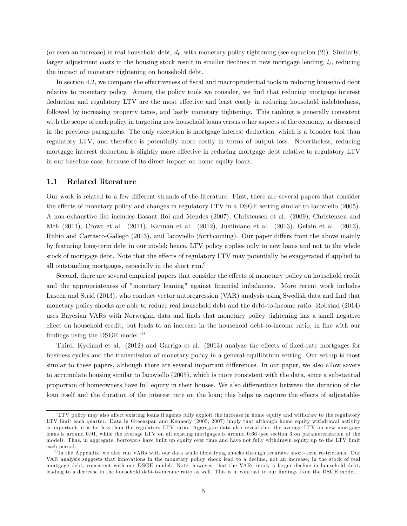(or even an increase) in real household debt,  $d_t$ , with monetary policy tightening (see equation (2)). Similarly, larger adjustment costs in the housing stock result in smaller declines in new mortgage lending,  $l_t$ , reducing the impact of monetary tightening on household debt.

In section 4.2, we compare the effectiveness of fiscal and macroprudential tools in reducing household debt relative to monetary policy. Among the policy tools we consider, we find that reducing mortgage interest deduction and regulatory LTV are the most effective and least costly in reducing household indebtedness, followed by increasing property taxes, and lastly monetary tightening. This ranking is generally consistent with the scope of each policy in targeting new household loans versus other aspects of the economy, as discussed in the previous paragraphs. The only exception is mortgage interest deduction, which is a broader tool than regulatory LTV, and therefore is potentially more costly in terms of output loss. Nevertheless, reducing mortgage interest deduction is slightly more effective in reducing mortgage debt relative to regulatory LTV in our baseline case, because of its direct impact on home equity loans.

#### 1.1 Related literature

Our work is related to a few different strands of the literature. First, there are several papers that consider the effects of monetary policy and changes in regulatory LTV in a DSGE setting similar to Iacoviello (2005). A non-exhaustive list includes Basant Roi and Mendes (2007), Christensen et al. (2009), Christensen and Meh (2011), Crowe et al. (2011), Kannan et al. (2012), Justiniano et al. (2013), Gelain et al. (2013), Rubio and Carrasco-Gallego (2013), and Iacoviello (forthcoming). Our paper differs from the above mainly by featuring long-term debt in our model; hence, LTV policy applies only to new loans and not to the whole stock of mortgage debt. Note that the effects of regulatory LTV may potentially be exaggerated if applied to all outstanding mortgages, especially in the short run.<sup>9</sup>

Second, there are several empirical papers that consider the effects of monetary policy on household credit and the appropriateness of "monetary leaning" against Önancial imbalances. More recent work includes Laseen and Strid (2013), who conduct vector autoregression (VAR) analysis using Swedish data and find that monetary policy shocks are able to reduce real household debt and the debt-to-income ratio. Robstad (2014) uses Bayesian VARs with Norwegian data and Önds that monetary policy tightening has a small negative effect on household credit, but leads to an increase in the household debt-to-income ratio, in line with our findings using the DSGE model.<sup>10</sup>

Third, Kydland et al. (2012) and Garriga et al. (2013) analyze the effects of fixed-rate mortgages for business cycles and the transmission of monetary policy in a general-equilibrium setting. Our set-up is most similar to these papers, although there are several important differences. In our paper, we also allow savers to accumulate housing similar to Iacoviello (2005), which is more consistent with the data, since a substantial proportion of homeowners have full equity in their houses. We also differentiate between the duration of the loan itself and the duration of the interest rate on the loan; this helps us capture the effects of adjustable-

 $9$  LTV policy may also affect existing loans if agents fully exploit the increase in home equity and withdraw to the regulatory LTV limit each quarter. Data in Greenspan and Kennedy (2005, 2007) imply that although home equity withdrawal activity is important, it is far less than the regulatory LTV ratio. Aggregate data also reveal that the average LTV on new mortgage loans is around 0.91, while the average LTV on all existing mortgages is around 0.66 (see section 3 on parameterization of the model). Thus, in aggregate, borrowers have built up equity over time and have not fully withdrawn equity up to the LTV limit each period.

 $10$  In the Appendix, we also run VARs with our data while identifying shocks through recursive short-term restrictions. Our VAR analysis suggests that innovations in the monetary policy shock lead to a decline, not an increase, in the stock of real mortgage debt, consistent with our DSGE model. Note, however, that the VARs imply a larger decline in household debt, leading to a decrease in the household debt-to-income ratio as well. This is in contrast to our findings from the DSGE model.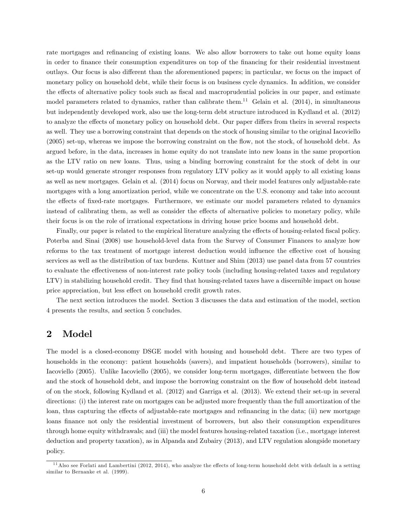rate mortgages and refinancing of existing loans. We also allow borrowers to take out home equity loans in order to Önance their consumption expenditures on top of the Önancing for their residential investment outlays. Our focus is also different than the aforementioned papers; in particular, we focus on the impact of monetary policy on household debt, while their focus is on business cycle dynamics. In addition, we consider the effects of alternative policy tools such as fiscal and macroprudential policies in our paper, and estimate model parameters related to dynamics, rather than calibrate them.<sup>11</sup> Gelain et al.  $(2014)$ , in simultaneous but independently developed work, also use the long-term debt structure introduced in Kydland et al. (2012) to analyze the effects of monetary policy on household debt. Our paper differs from theirs in several respects as well. They use a borrowing constraint that depends on the stock of housing similar to the original Iacoviello (2005) set-up, whereas we impose the borrowing constraint on the áow, not the stock, of household debt. As argued before, in the data, increases in home equity do not translate into new loans in the same proportion as the LTV ratio on new loans. Thus, using a binding borrowing constraint for the stock of debt in our set-up would generate stronger responses from regulatory LTV policy as it would apply to all existing loans as well as new mortgages. Gelain et al. (2014) focus on Norway, and their model features only adjustable-rate mortgages with a long amortization period, while we concentrate on the U.S. economy and take into account the effects of fixed-rate mortgages. Furthermore, we estimate our model parameters related to dynamics instead of calibrating them, as well as consider the effects of alternative policies to monetary policy, while their focus is on the role of irrational expectations in driving house price booms and household debt.

Finally, our paper is related to the empirical literature analyzing the effects of housing-related fiscal policy. Poterba and Sinai (2008) use household-level data from the Survey of Consumer Finances to analyze how reforms to the tax treatment of mortgage interest deduction would influence the effective cost of housing services as well as the distribution of tax burdens. Kuttner and Shim (2013) use panel data from 57 countries to evaluate the effectiveness of non-interest rate policy tools (including housing-related taxes and regulatory LTV) in stabilizing household credit. They find that housing-related taxes have a discernible impact on house price appreciation, but less effect on household credit growth rates.

The next section introduces the model. Section 3 discusses the data and estimation of the model, section 4 presents the results, and section 5 concludes.

### 2 Model

The model is a closed-economy DSGE model with housing and household debt. There are two types of households in the economy: patient households (savers), and impatient households (borrowers), similar to Iacoviello (2005). Unlike Iacoviello (2005), we consider long-term mortgages, differentiate between the flow and the stock of household debt, and impose the borrowing constraint on the flow of household debt instead of on the stock, following Kydland et al. (2012) and Garriga et al. (2013). We extend their set-up in several directions: (i) the interest rate on mortgages can be adjusted more frequently than the full amortization of the loan, thus capturing the effects of adjustable-rate mortgages and refinancing in the data; (ii) new mortgage loans finance not only the residential investment of borrowers, but also their consumption expenditures through home equity withdrawals; and (iii) the model features housing-related taxation (i.e., mortgage interest deduction and property taxation), as in Alpanda and Zubairy (2013), and LTV regulation alongside monetary policy.

 $11$  Also see Forlati and Lambertini (2012, 2014), who analyze the effects of long-term household debt with default in a setting similar to Bernanke et al. (1999).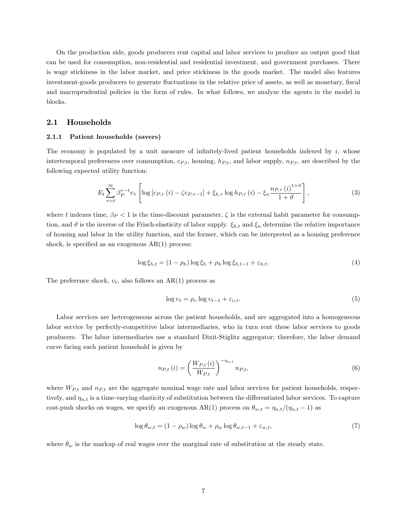On the production side, goods producers rent capital and labor services to produce an output good that can be used for consumption, non-residential and residential investment, and government purchases. There is wage stickiness in the labor market, and price stickiness in the goods market. The model also features investment-goods producers to generate fluctuations in the relative price of assets, as well as monetary, fiscal and macroprudential policies in the form of rules. In what follows, we analyze the agents in the model in blocks.

#### 2.1 Households

#### 2.1.1 Patient households (savers)

The economy is populated by a unit measure of infinitely-lived patient households indexed by  $i$ , whose intertemporal preferences over consumption,  $c_{P,t}$ , housing,  $h_{P,t}$ , and labor supply,  $n_{P,t}$ , are described by the following expected utility function:

$$
E_{t} \sum_{\tau=t}^{\infty} \beta_{P}^{\tau-t} v_{\tau} \left[ \log \left[ c_{P,\tau} \left( i \right) - \zeta c_{P,\tau-1} \right] + \xi_{h,\tau} \log h_{P,\tau} \left( i \right) - \xi_{n} \frac{n_{P,\tau} \left( i \right)^{1+\vartheta}}{1+\vartheta} \right], \tag{3}
$$

where t indexes time,  $\beta_P < 1$  is the time-discount parameter,  $\zeta$  is the external habit parameter for consumption, and  $\vartheta$  is the inverse of the Frisch-elasticity of labor supply.  $\xi_{h,t}$  and  $\xi_n$  determine the relative importance of housing and labor in the utility function, and the former, which can be interpreted as a housing preference shock, is specified as an exogenous  $AR(1)$  process:

$$
\log \xi_{h,t} = (1 - \rho_h) \log \xi_h + \rho_h \log \xi_{h,t-1} + \varepsilon_{h,t}.
$$
\n(4)

The preference shock,  $v_t$ , also follows an AR(1) process as

$$
\log v_t = \rho_v \log v_{t-1} + \varepsilon_{v,t}.\tag{5}
$$

Labor services are heterogeneous across the patient households, and are aggregated into a homogeneous labor service by perfectly-competitive labor intermediaries, who in turn rent these labor services to goods producers. The labor intermediaries use a standard Dixit-Stiglitz aggregator; therefore, the labor demand curve facing each patient household is given by

$$
n_{P,t}(i) = \left(\frac{W_{P,t}(i)}{W_{P,t}}\right)^{-\eta_{n,t}} n_{P,t},
$$
\n(6)

where  $W_{P,t}$  and  $n_{P,t}$  are the aggregate nominal wage rate and labor services for patient households, respectively, and  $\eta_{n,t}$  is a time-varying elasticity of substitution between the differentiated labor services. To capture cost-push shocks on wages, we specify an exogenous AR(1) process on  $\theta_{w,t} = \eta_{n,t}/(\eta_{n,t} - 1)$  as

$$
\log \theta_{w,t} = (1 - \rho_w) \log \theta_w + \rho_w \log \theta_{w,t-1} + \varepsilon_{w,t},\tag{7}
$$

where  $\theta_w$  is the markup of real wages over the marginal rate of substitution at the steady state.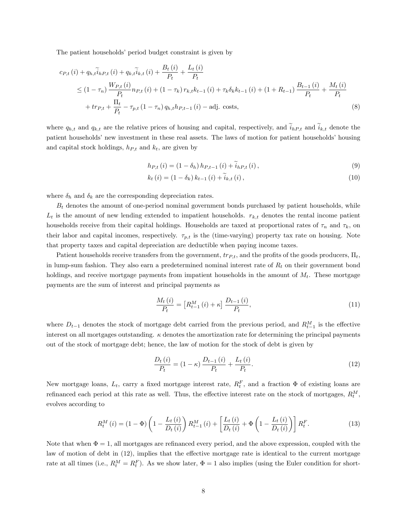The patient households' period budget constraint is given by

$$
c_{P,t}(i) + q_{h,t}\tilde{i}_{h,P,t}(i) + q_{k,t}\tilde{i}_{k,t}(i) + \frac{B_t(i)}{P_t} + \frac{L_t(i)}{P_t}
$$
  
\n
$$
\leq (1 - \tau_n) \frac{W_{P,t}(i)}{P_t} n_{P,t}(i) + (1 - \tau_k) r_{k,t} k_{t-1}(i) + \tau_k \delta_k k_{t-1}(i) + (1 + R_{t-1}) \frac{B_{t-1}(i)}{P_t} + \frac{M_t(i)}{P_t}
$$
  
\n
$$
+ tr_{P,t} + \frac{\Pi_t}{P_t} - \tau_{p,t}(1 - \tau_n) q_{h,t} h_{P,t-1}(i) - \text{adj. costs},
$$
\n(8)

where  $q_{h,t}$  and  $q_{k,t}$  are the relative prices of housing and capital, respectively, and  $\tilde{i}_{hP,t}$  and  $\tilde{i}_{k,t}$  denote the patient households' new investment in these real assets. The laws of motion for patient households' housing and capital stock holdings,  $h_{P,t}$  and  $k_t$ , are given by

$$
h_{P,t}(i) = (1 - \delta_h) h_{P,t-1}(i) + \tilde{i}_{hP,t}(i),
$$
\n(9)

$$
k_t(i) = (1 - \delta_k) k_{t-1}(i) + i_{k,t}(i),
$$
\n(10)

where  $\delta_h$  and  $\delta_k$  are the corresponding depreciation rates.

 $B_t$  denotes the amount of one-period nominal government bonds purchased by patient households, while  $L_t$  is the amount of new lending extended to impatient households.  $r_{k,t}$  denotes the rental income patient households receive from their capital holdings. Households are taxed at proportional rates of  $\tau_n$  and  $\tau_k$ , on their labor and capital incomes, respectively.  $\tau_{p,t}$  is the (time-varying) property tax rate on housing. Note that property taxes and capital depreciation are deductible when paying income taxes.

Patient households receive transfers from the government,  $tr_{P,t}$ , and the profits of the goods producers,  $\Pi_t$ , in lump-sum fashion. They also earn a predetermined nominal interest rate of  $R_t$  on their government bond holdings, and receive mortgage payments from impatient households in the amount of  $M_t$ . These mortgage payments are the sum of interest and principal payments as

$$
\frac{M_t(i)}{P_t} = [R_{t-1}^M(i) + \kappa] \frac{D_{t-1}(i)}{P_t},
$$
\n(11)

where  $D_{t-1}$  denotes the stock of mortgage debt carried from the previous period, and  $R_{t-1}^M$  is the effective interest on all mortgages outstanding.  $\kappa$  denotes the amortization rate for determining the principal payments out of the stock of mortgage debt; hence, the law of motion for the stock of debt is given by

$$
\frac{D_t(i)}{P_t} = (1 - \kappa) \frac{D_{t-1}(i)}{P_t} + \frac{L_t(i)}{P_t}.
$$
\n(12)

New mortgage loans,  $L_t$ , carry a fixed mortgage interest rate,  $R_t^F$ , and a fraction  $\Phi$  of existing loans are refinanced each period at this rate as well. Thus, the effective interest rate on the stock of mortgages,  $R_t^M$ , evolves according to

$$
R_t^M(i) = (1 - \Phi) \left( 1 - \frac{L_t(i)}{D_t(i)} \right) R_{t-1}^M(i) + \left[ \frac{L_t(i)}{D_t(i)} + \Phi \left( 1 - \frac{L_t(i)}{D_t(i)} \right) \right] R_t^F.
$$
 (13)

Note that when  $\Phi = 1$ , all mortgages are refinanced every period, and the above expression, coupled with the law of motion of debt in  $(12)$ , implies that the effective mortgage rate is identical to the current mortgage rate at all times (i.e.,  $R_t^M = R_t^F$ ). As we show later,  $\Phi = 1$  also implies (using the Euler condition for short-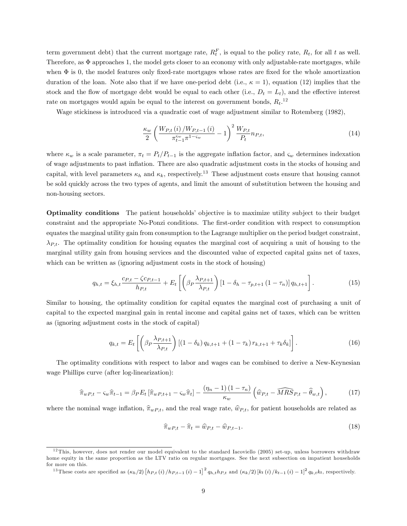term government debt) that the current mortgage rate,  $R_t^F$ , is equal to the policy rate,  $R_t$ , for all t as well. Therefore, as  $\Phi$  approaches 1, the model gets closer to an economy with only adjustable-rate mortgages, while when  $\Phi$  is 0, the model features only fixed-rate mortgages whose rates are fixed for the whole amortization duration of the loan. Note also that if we have one-period debt (i.e.,  $\kappa = 1$ ), equation (12) implies that the stock and the flow of mortgage debt would be equal to each other (i.e.,  $D_t = L_t$ ), and the effective interest rate on mortgages would again be equal to the interest on government bonds,  $R_t$ <sup>12</sup>

Wage stickiness is introduced via a quadratic cost of wage adjustment similar to Rotemberg (1982),

$$
\frac{\kappa_w}{2} \left( \frac{W_{P,t} \left( i \right) / W_{P,t-1} \left( i \right)}{\pi_{t-1}^{c_w} \pi^{1-c_w}} - 1 \right)^2 \frac{W_{P,t}}{P_t} n_{P,t},\tag{14}
$$

where  $\kappa_w$  is a scale parameter,  $\pi_t = P_t/P_{t-1}$  is the aggregate inflation factor, and  $\varsigma_w$  determines indexation of wage adjustments to past ináation. There are also quadratic adjustment costs in the stocks of housing and capital, with level parameters  $\kappa_h$  and  $\kappa_k$ , respectively.<sup>13</sup> These adjustment costs ensure that housing cannot be sold quickly across the two types of agents, and limit the amount of substitution between the housing and non-housing sectors.

**Optimality conditions** The patient households' objective is to maximize utility subject to their budget constraint and the appropriate No-Ponzi conditions. The first-order condition with respect to consumption equates the marginal utility gain from consumption to the Lagrange multiplier on the period budget constraint,  $\lambda_{P,t}$ . The optimality condition for housing equates the marginal cost of acquiring a unit of housing to the marginal utility gain from housing services and the discounted value of expected capital gains net of taxes, which can be written as (ignoring adjustment costs in the stock of housing)

$$
q_{h,t} = \xi_{h,t} \frac{c_{P,t} - \zeta c_{P,t-1}}{h_{P,t}} + E_t \left[ \left( \beta_P \frac{\lambda_{P,t+1}}{\lambda_{P,t}} \right) \left[ 1 - \delta_h - \tau_{p,t+1} \left( 1 - \tau_n \right) \right] q_{h,t+1} \right]. \tag{15}
$$

Similar to housing, the optimality condition for capital equates the marginal cost of purchasing a unit of capital to the expected marginal gain in rental income and capital gains net of taxes, which can be written as (ignoring adjustment costs in the stock of capital)

$$
q_{k,t} = E_t \left[ \left( \beta_P \frac{\lambda_{P,t+1}}{\lambda_{P,t}} \right) \left[ (1 - \delta_k) q_{k,t+1} + (1 - \tau_k) r_{k,t+1} + \tau_k \delta_k \right] \right]. \tag{16}
$$

The optimality conditions with respect to labor and wages can be combined to derive a New-Keynesian wage Phillips curve (after log-linearization):

$$
\widehat{\pi}_{wP,t} - \varsigma_w \widehat{\pi}_{t-1} = \beta_P E_t \left[ \widehat{\pi}_{wP,t+1} - \varsigma_w \widehat{\pi}_t \right] - \frac{\left( \eta_n - 1 \right) \left( 1 - \tau_n \right)}{\kappa_w} \left( \widehat{w}_{P,t} - \widehat{MRS}_{P,t} - \widehat{\theta}_{w,t} \right),\tag{17}
$$

where the nominal wage inflation,  $\hat{\pi}_{wPt}$ , and the real wage rate,  $\hat{w}_{Pt}$ , for patient households are related as

$$
\widehat{\pi}_{wP,t} - \widehat{\pi}_t = \widehat{w}_{P,t} - \widehat{w}_{P,t-1}.
$$
\n(18)

 $12$ This, however, does not render our model equivalent to the standard Iacoviello (2005) set-up, unless borrowers withdraw home equity in the same proportion as the LTV ratio on regular mortgages. See the next subsection on impatient households for more on this.

<sup>&</sup>lt;sup>13</sup>These costs are specified as  $(\kappa_h/2)$   $\left[h_{P,t} (i) / h_{P,t-1} (i) - 1\right]^2 q_{h,t} h_{P,t}$  and  $(\kappa_k/2)$   $\left[k_t (i) / k_{t-1} (i) - 1\right]^2 q_{k,t} k_t$ , respectively.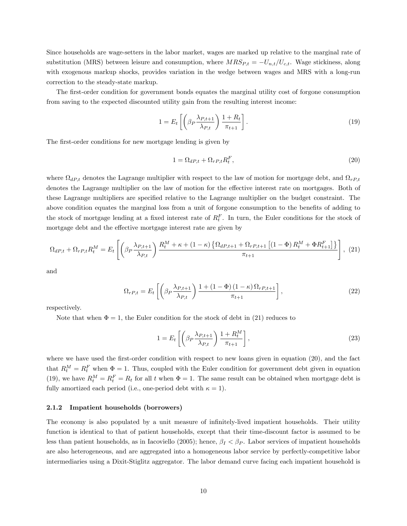Since households are wage-setters in the labor market, wages are marked up relative to the marginal rate of substitution (MRS) between leisure and consumption, where  $MRS_{P,t} = -U_{n,t}/U_{c,t}$ . Wage stickiness, along with exogenous markup shocks, provides variation in the wedge between wages and MRS with a long-run correction to the steady-state markup.

The first-order condition for government bonds equates the marginal utility cost of forgone consumption from saving to the expected discounted utility gain from the resulting interest income:

$$
1 = E_t \left[ \left( \beta_P \frac{\lambda_{P,t+1}}{\lambda_{P,t}} \right) \frac{1 + R_t}{\pi_{t+1}} \right]. \tag{19}
$$

The first-order conditions for new mortgage lending is given by

$$
1 = \Omega_{dP,t} + \Omega_{rP,t} R_t^F,\tag{20}
$$

where  $\Omega_{dP,t}$  denotes the Lagrange multiplier with respect to the law of motion for mortgage debt, and  $\Omega_{rP,t}$ denotes the Lagrange multiplier on the law of motion for the effective interest rate on mortgages. Both of these Lagrange multipliers are specified relative to the Lagrange multiplier on the budget constraint. The above condition equates the marginal loss from a unit of forgone consumption to the benefits of adding to the stock of mortgage lending at a fixed interest rate of  $R_t^F$ . In turn, the Euler conditions for the stock of mortgage debt and the effective mortgage interest rate are given by

$$
\Omega_{dP,t} + \Omega_{rP,t} R_t^M = E_t \left[ \left( \beta_P \frac{\lambda_{P,t+1}}{\lambda_{P,t}} \right) \frac{R_t^M + \kappa + (1-\kappa) \left\{ \Omega_{dP,t+1} + \Omega_{rP,t+1} \left[ (1-\Phi) R_t^M + \Phi R_{t+1}^P \right] \right\}}{\pi_{t+1}} \right], \tag{21}
$$

and

$$
\Omega_{rP,t} = E_t \left[ \left( \beta_P \frac{\lambda_{P,t+1}}{\lambda_{P,t}} \right) \frac{1 + (1 - \Phi)(1 - \kappa) \Omega_{rP,t+1}}{\pi_{t+1}} \right],
$$
\n(22)

respectively.

Note that when  $\Phi = 1$ , the Euler condition for the stock of debt in (21) reduces to

$$
1 = E_t \left[ \left( \beta_P \frac{\lambda_{P,t+1}}{\lambda_{P,t}} \right) \frac{1 + R_t^M}{\pi_{t+1}} \right],
$$
\n(23)

where we have used the first-order condition with respect to new loans given in equation (20), and the fact that  $R_t^M = R_t^F$  when  $\Phi = 1$ . Thus, coupled with the Euler condition for government debt given in equation (19), we have  $R_t^M = R_t^F = R_t$  for all t when  $\Phi = 1$ . The same result can be obtained when mortgage debt is fully amortized each period (i.e., one-period debt with  $\kappa = 1$ ).

#### 2.1.2 Impatient households (borrowers)

The economy is also populated by a unit measure of infinitely-lived impatient households. Their utility function is identical to that of patient households, except that their time-discount factor is assumed to be less than patient households, as in Iacoviello (2005); hence,  $\beta_I < \beta_P$ . Labor services of impatient households are also heterogeneous, and are aggregated into a homogeneous labor service by perfectly-competitive labor intermediaries using a Dixit-Stiglitz aggregator. The labor demand curve facing each impatient household is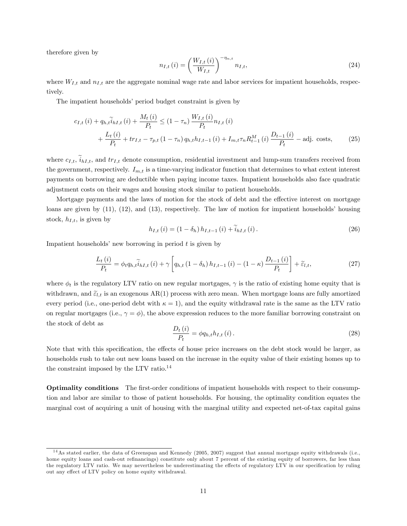therefore given by

$$
n_{I,t}(i) = \left(\frac{W_{I,t}(i)}{W_{I,t}}\right)^{-\eta_{n,t}} n_{I,t},
$$
\n(24)

where  $W_{I,t}$  and  $n_{I,t}$  are the aggregate nominal wage rate and labor services for impatient households, respectively.

The impatient households' period budget constraint is given by

$$
c_{I,t}(i) + q_{h,t}\tilde{i}_{hI,t}(i) + \frac{M_t(i)}{P_t} \le (1 - \tau_n) \frac{W_{I,t}(i)}{P_t} n_{I,t}(i) + \frac{L_t(i)}{P_t} + tr_{I,t} - \tau_{p,t} (1 - \tau_n) q_{h,t} h_{I,t-1}(i) + I_{m,t}\tau_n R_{t-1}^M(i) \frac{D_{t-1}(i)}{P_t} - \text{adj. costs},
$$
 (25)

where  $c_{I,t}$ ,  $\tilde{i}_{hI,t}$ , and  $tr_{I,t}$  denote consumption, residential investment and lump-sum transfers received from the government, respectively.  $I_{m,t}$  is a time-varying indicator function that determines to what extent interest payments on borrowing are deductible when paying income taxes. Impatient households also face quadratic adjustment costs on their wages and housing stock similar to patient households.

Mortgage payments and the laws of motion for the stock of debt and the effective interest on mortgage loans are given by  $(11)$ ,  $(12)$ , and  $(13)$ , respectively. The law of motion for impatient households' housing stock,  $h_{I,t}$ , is given by

$$
h_{I,t}(i) = (1 - \delta_h) h_{I,t-1}(i) + \tilde{i}_{hI,t}(i).
$$
\n(26)

Impatient households' new borrowing in period  $t$  is given by

$$
\frac{L_t(i)}{P_t} = \phi_t q_{h,t} \widetilde{i}_{hI,t}(i) + \gamma \left[ q_{h,t} \left( 1 - \delta_h \right) h_{I,t-1}(i) - (1 - \kappa) \frac{D_{t-1}(i)}{P_t} \right] + \widetilde{\varepsilon}_{l,t},\tag{27}
$$

where  $\phi_t$  is the regulatory LTV ratio on new regular mortgages,  $\gamma$  is the ratio of existing home equity that is withdrawn, and  $\tilde{\varepsilon}_{l,t}$  is an exogenous AR(1) process with zero mean. When mortgage loans are fully amortized every period (i.e., one-period debt with  $\kappa = 1$ ), and the equity withdrawal rate is the same as the LTV ratio on regular mortgages (i.e.,  $\gamma = \phi$ ), the above expression reduces to the more familiar borrowing constraint on the stock of debt as

$$
\frac{D_t(i)}{P_t} = \phi q_{h,t} h_{I,t}(i). \tag{28}
$$

Note that with this specification, the effects of house price increases on the debt stock would be larger, as households rush to take out new loans based on the increase in the equity value of their existing homes up to the constraint imposed by the LTV ratio. $^{14}$ 

**Optimality conditions** The first-order conditions of impatient households with respect to their consumption and labor are similar to those of patient households. For housing, the optimality condition equates the marginal cost of acquiring a unit of housing with the marginal utility and expected net-of-tax capital gains

<sup>&</sup>lt;sup>14</sup>As stated earlier, the data of Greenspan and Kennedy (2005, 2007) suggest that annual mortgage equity withdrawals (i.e., home equity loans and cash-out refinancings) constitute only about 7 percent of the existing equity of borrowers, far less than the regulatory LTV ratio. We may nevertheless be underestimating the effects of regulatory LTV in our specification by ruling out any effect of LTV policy on home equity withdrawal.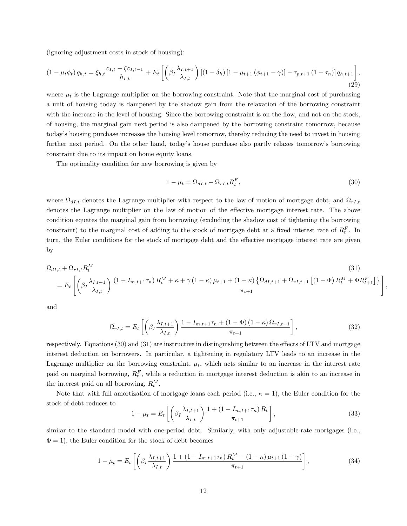(ignoring adjustment costs in stock of housing):

$$
(1 - \mu_t \phi_t) q_{h,t} = \xi_{h,t} \frac{c_{I,t} - \zeta c_{I,t-1}}{h_{I,t}} + E_t \left[ \left( \beta_I \frac{\lambda_{I,t+1}}{\lambda_{I,t}} \right) \left[ (1 - \delta_h) \left[ 1 - \mu_{t+1} \left( \phi_{t+1} - \gamma \right) \right] - \tau_{p,t+1} \left( 1 - \tau_n \right) \right] q_{h,t+1} \right],
$$
\n(29)

where  $\mu_t$  is the Lagrange multiplier on the borrowing constraint. Note that the marginal cost of purchasing a unit of housing today is dampened by the shadow gain from the relaxation of the borrowing constraint with the increase in the level of housing. Since the borrowing constraint is on the flow, and not on the stock, of housing, the marginal gain next period is also dampened by the borrowing constraint tomorrow, because todayís housing purchase increases the housing level tomorrow, thereby reducing the need to invest in housing further next period. On the other hand, today's house purchase also partly relaxes tomorrow's borrowing constraint due to its impact on home equity loans.

The optimality condition for new borrowing is given by

$$
1 - \mu_t = \Omega_{dI,t} + \Omega_{rI,t} R_t^F,\tag{30}
$$

;

where  $\Omega_{dI,t}$  denotes the Lagrange multiplier with respect to the law of motion of mortgage debt, and  $\Omega_{rI,t}$ denotes the Lagrange multiplier on the law of motion of the effective mortgage interest rate. The above condition equates the marginal gain from borrowing (excluding the shadow cost of tightening the borrowing constraint) to the marginal cost of adding to the stock of mortgage debt at a fixed interest rate of  $R_t^F$ . In turn, the Euler conditions for the stock of mortgage debt and the effective mortgage interest rate are given by

$$
\Omega_{dI,t} + \Omega_{rI,t} R_t^M
$$
\n(31)\n
$$
= E_t \left[ \left( \beta_I \frac{\lambda_{I,t+1}}{\lambda_{I,t}} \right) \frac{\left(1 - I_{m,t+1} \tau_n\right) R_t^M + \kappa + \gamma \left(1 - \kappa\right) \mu_{t+1} + \left(1 - \kappa\right) \left\{ \Omega_{dI,t+1} + \Omega_{rI,t+1} \left[ \left(1 - \Phi\right) R_t^M + \Phi R_{t+1}^F \right] \right\}}{\pi_{t+1}} \right]
$$

and

$$
\Omega_{rI,t} = E_t \left[ \left( \beta_I \frac{\lambda_{I,t+1}}{\lambda_{I,t}} \right) \frac{1 - I_{m,t+1} \tau_n + (1 - \Phi) (1 - \kappa) \Omega_{rI,t+1}}{\pi_{t+1}} \right],\tag{32}
$$

respectively. Equations  $(30)$  and  $(31)$  are instructive in distinguishing between the effects of LTV and mortgage interest deduction on borrowers. In particular, a tightening in regulatory LTV leads to an increase in the Lagrange multiplier on the borrowing constraint,  $\mu_t$ , which acts similar to an increase in the interest rate paid on marginal borrowing,  $R_t^F$ , while a reduction in mortgage interest deduction is akin to an increase in the interest paid on all borrowing,  $R_t^M$ .

Note that with full amortization of mortgage loans each period (i.e.,  $\kappa = 1$ ), the Euler condition for the stock of debt reduces to

$$
1 - \mu_t = E_t \left[ \left( \beta_I \frac{\lambda_{I,t+1}}{\lambda_{I,t}} \right) \frac{1 + \left( 1 - I_{m,t+1} \tau_n \right) R_t}{\pi_{t+1}} \right],\tag{33}
$$

similar to the standard model with one-period debt. Similarly, with only adjustable-rate mortgages (i.e.,  $\Phi = 1$ , the Euler condition for the stock of debt becomes

$$
1 - \mu_t = E_t \left[ \left( \beta_I \frac{\lambda_{I,t+1}}{\lambda_{I,t}} \right) \frac{1 + (1 - I_{m,t+1} \tau_n) R_t^M - (1 - \kappa) \mu_{t+1} (1 - \gamma)}{\pi_{t+1}} \right],
$$
(34)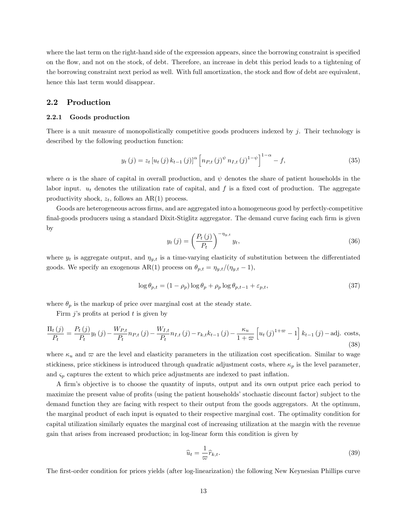where the last term on the right-hand side of the expression appears, since the borrowing constraint is specified on the áow, and not on the stock, of debt. Therefore, an increase in debt this period leads to a tightening of the borrowing constraint next period as well. With full amortization, the stock and flow of debt are equivalent, hence this last term would disappear.

#### 2.2 Production

#### 2.2.1 Goods production

There is a unit measure of monopolistically competitive goods producers indexed by j. Their technology is described by the following production function:

$$
y_{t}(j) = z_{t} \left[ u_{t}(j) k_{t-1}(j) \right]^{\alpha} \left[ n_{P,t}(j) \right]^{\psi} n_{I,t}(j)^{1-\psi} \Big]^{1-\alpha} - f,
$$
\n(35)

where  $\alpha$  is the share of capital in overall production, and  $\psi$  denotes the share of patient households in the labor input.  $u_t$  denotes the utilization rate of capital, and f is a fixed cost of production. The aggregate productivity shock,  $z_t$ , follows an AR(1) process.

Goods are heterogeneous across firms, and are aggregated into a homogeneous good by perfectly-competitive final-goods producers using a standard Dixit-Stiglitz aggregator. The demand curve facing each firm is given by

$$
y_t(j) = \left(\frac{P_t(j)}{P_t}\right)^{-\eta_{y,t}} y_t,\tag{36}
$$

where  $y_t$  is aggregate output, and  $\eta_{y,t}$  is a time-varying elasticity of substitution between the differentiated goods. We specify an exogenous AR(1) process on  $\theta_{p,t} = \eta_{y,t}/(\eta_{y,t} - 1)$ ,

$$
\log \theta_{p,t} = (1 - \rho_p) \log \theta_p + \rho_p \log \theta_{p,t-1} + \varepsilon_{p,t},\tag{37}
$$

where  $\theta_p$  is the markup of price over marginal cost at the steady state.

Firm  $j$ 's profits at period  $t$  is given by

$$
\frac{\Pi_{t}(j)}{P_{t}} = \frac{P_{t}(j)}{P_{t}} y_{t}(j) - \frac{W_{P,t}}{P_{t}} n_{P,t}(j) - \frac{W_{I,t}}{P_{t}} n_{I,t}(j) - r_{k,t} k_{t-1}(j) - \frac{\kappa_{u}}{1+\varpi} \left[ u_{t}(j)^{1+\varpi} - 1 \right] k_{t-1}(j) - \text{adj. costs},\tag{38}
$$

where  $\kappa_u$  and  $\varpi$  are the level and elasticity parameters in the utilization cost specification. Similar to wage stickiness, price stickiness is introduced through quadratic adjustment costs, where  $\kappa_p$  is the level parameter, and  $\varsigma_p$  captures the extent to which price adjustments are indexed to past inflation.

A Örmís objective is to choose the quantity of inputs, output and its own output price each period to maximize the present value of profits (using the patient households' stochastic discount factor) subject to the demand function they are facing with respect to their output from the goods aggregators. At the optimum, the marginal product of each input is equated to their respective marginal cost. The optimality condition for capital utilization similarly equates the marginal cost of increasing utilization at the margin with the revenue gain that arises from increased production; in log-linear form this condition is given by

$$
\hat{u}_t = \frac{1}{\varpi} \hat{r}_{k,t}.\tag{39}
$$

The first-order condition for prices yields (after log-linearization) the following New Keynesian Phillips curve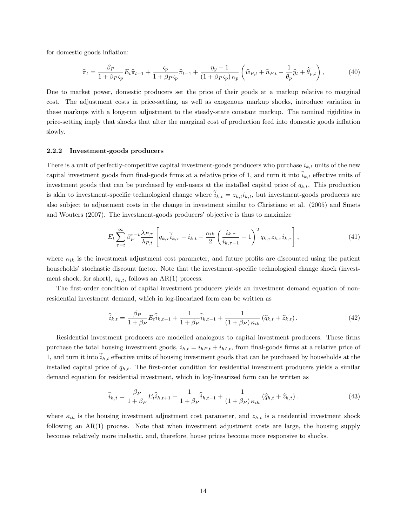for domestic goods inflation:

$$
\widehat{\pi}_t = \frac{\beta_P}{1 + \beta_P \varsigma_p} E_t \widehat{\pi}_{t+1} + \frac{\varsigma_p}{1 + \beta_P \varsigma_p} \widehat{\pi}_{t-1} + \frac{\eta_y - 1}{(1 + \beta_P \varsigma_p) \kappa_p} \left( \widehat{w}_{P,t} + \widehat{n}_{P,t} - \frac{1}{\theta_p} \widehat{y}_t + \widehat{\theta}_{p,t} \right),\tag{40}
$$

Due to market power, domestic producers set the price of their goods at a markup relative to marginal cost. The adjustment costs in price-setting, as well as exogenous markup shocks, introduce variation in these markups with a long-run adjustment to the steady-state constant markup. The nominal rigidities in price-setting imply that shocks that alter the marginal cost of production feed into domestic goods ináation slowly.

#### 2.2.2 Investment-goods producers

There is a unit of perfectly-competitive capital investment-goods producers who purchase  $i_{k,t}$  units of the new capital investment goods from final-goods firms at a relative price of 1, and turn it into  $i_{k,t}$  effective units of investment goods that can be purchased by end-users at the installed capital price of  $q_{k,t}$ . This production is akin to investment-specific technological change where  $i_{k,t} = z_{k,t}i_{k,t}$ , but investment-goods producers are also subject to adjustment costs in the change in investment similar to Christiano et al. (2005) and Smets and Wouters (2007). The investment-goods producers' objective is thus to maximize

$$
E_t \sum_{\tau=t}^{\infty} \beta_P^{\tau-t} \frac{\lambda_{P,\tau}}{\lambda_{P,t}} \left[ q_{k,\tau} \tilde{i}_{k,\tau} - i_{k,t} - \frac{\kappa_{ik}}{2} \left( \frac{i_{k,\tau}}{i_{k,\tau-1}} - 1 \right)^2 q_{k,\tau} z_{k,\tau} i_{k,\tau} \right],\tag{41}
$$

where  $\kappa_{ik}$  is the investment adjustment cost parameter, and future profits are discounted using the patient households' stochastic discount factor. Note that the investment-specific technological change shock (investment shock, for short),  $z_{k,t}$ , follows an AR(1) process.

The first-order condition of capital investment producers yields an investment demand equation of nonresidential investment demand, which in log-linearized form can be written as

$$
\widehat{i}_{k,t} = \frac{\beta_P}{1 + \beta_P} E_t \widehat{i}_{k,t+1} + \frac{1}{1 + \beta_P} \widehat{i}_{k,t-1} + \frac{1}{(1 + \beta_P) \kappa_{ik}} (\widehat{q}_{k,t} + \widehat{z}_{k,t}).
$$
\n(42)

Residential investment producers are modelled analogous to capital investment producers. These firms purchase the total housing investment goods,  $i_{h,t} = i_{hP,t} + i_{hI,t}$ , from final-goods firms at a relative price of 1, and turn it into  $i_{h,t}$  effective units of housing investment goods that can be purchased by households at the installed capital price of  $q_{h,t}$ . The first-order condition for residential investment producers yields a similar demand equation for residential investment, which in log-linearized form can be written as

$$
\widehat{i}_{h,t} = \frac{\beta_P}{1 + \beta_P} E_t \widehat{i}_{h,t+1} + \frac{1}{1 + \beta_P} \widehat{i}_{h,t-1} + \frac{1}{(1 + \beta_P) \kappa_{ih}} (\widehat{q}_{h,t} + \widehat{z}_{h,t}). \tag{43}
$$

where  $\kappa_{ih}$  is the housing investment adjustment cost parameter, and  $z_{h,t}$  is a residential investment shock following an AR(1) process. Note that when investment adjustment costs are large, the housing supply becomes relatively more inelastic, and, therefore, house prices become more responsive to shocks.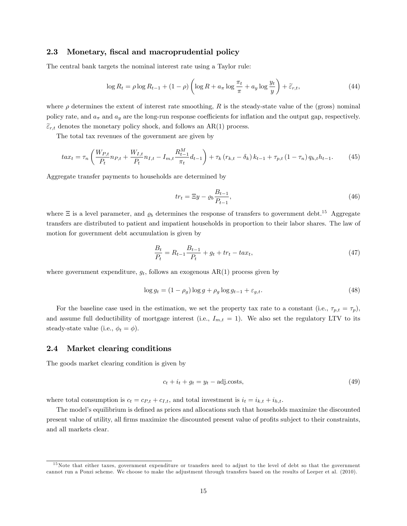#### 2.3 Monetary, fiscal and macroprudential policy

The central bank targets the nominal interest rate using a Taylor rule:

$$
\log R_t = \rho \log R_{t-1} + (1 - \rho) \left( \log R + a_\pi \log \frac{\pi_t}{\pi} + a_y \log \frac{y_t}{y} \right) + \tilde{\varepsilon}_{r,t},\tag{44}
$$

where  $\rho$  determines the extent of interest rate smoothing, R is the steady-state value of the (gross) nominal policy rate, and  $a_{\pi}$  and  $a_{y}$  are the long-run response coefficients for inflation and the output gap, respectively.  $\widetilde{\varepsilon}_{r,t}$  denotes the monetary policy shock, and follows an AR(1) process.

The total tax revenues of the government are given by

$$
tax_{t} = \tau_{n} \left( \frac{W_{P,t}}{P_{t}} n_{P,t} + \frac{W_{I,t}}{P_{t}} n_{I,t} - I_{m,t} \frac{R_{t-1}^{M}}{\pi_{t}} d_{t-1} \right) + \tau_{k} \left( r_{k,t} - \delta_{k} \right) k_{t-1} + \tau_{p,t} \left( 1 - \tau_{n} \right) q_{h,t} h_{t-1}.
$$
 (45)

Aggregate transfer payments to households are determined by

$$
tr_t = \Xi y - \varrho_b \frac{B_{t-1}}{P_{t-1}},\tag{46}
$$

where  $\Xi$  is a level parameter, and  $\varrho_b$  determines the response of transfers to government debt.<sup>15</sup> Aggregate transfers are distributed to patient and impatient households in proportion to their labor shares. The law of motion for government debt accumulation is given by

$$
\frac{B_t}{P_t} = R_{t-1} \frac{B_{t-1}}{P_t} + g_t + tr_t - tax_t,
$$
\n(47)

where government expenditure,  $g_t$ , follows an exogenous  $AR(1)$  process given by

$$
\log g_t = (1 - \rho_g) \log g + \rho_g \log g_{t-1} + \varepsilon_{g,t}.
$$
\n(48)

For the baseline case used in the estimation, we set the property tax rate to a constant (i.e.,  $\tau_{p,t} = \tau_p$ ), and assume full deductibility of mortgage interest (i.e.,  $I_{m,t} = 1$ ). We also set the regulatory LTV to its steady-state value (i.e.,  $\phi_t = \phi$ ).

#### 2.4 Market clearing conditions

The goods market clearing condition is given by

$$
c_t + i_t + g_t = y_t - adj \cdot \text{costs},\tag{49}
$$

where total consumption is  $c_t = c_{P,t} + c_{I,t}$ , and total investment is  $i_t = i_{k,t} + i_{h,t}$ .

The model's equilibrium is defined as prices and allocations such that households maximize the discounted present value of utility, all firms maximize the discounted present value of profits subject to their constraints, and all markets clear.

<sup>&</sup>lt;sup>15</sup>Note that either taxes, government expenditure or transfers need to adjust to the level of debt so that the government cannot run a Ponzi scheme. We choose to make the adjustment through transfers based on the results of Leeper et al. (2010).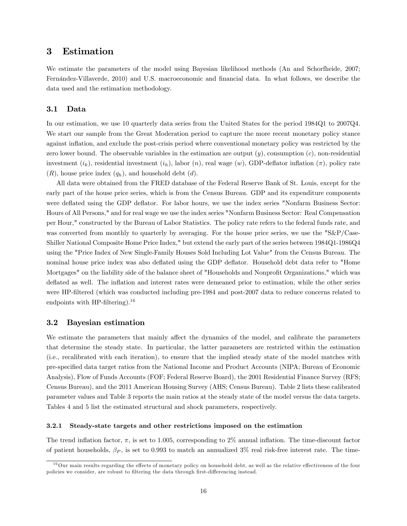## 3 Estimation

We estimate the parameters of the model using Bayesian likelihood methods (An and Schorfheide, 2007; Fernández-Villaverde, 2010) and U.S. macroeconomic and financial data. In what follows, we describe the data used and the estimation methodology.

#### 3.1 Data

In our estimation, we use 10 quarterly data series from the United States for the period 1984Q1 to 2007Q4. We start our sample from the Great Moderation period to capture the more recent monetary policy stance against inflation, and exclude the post-crisis period where conventional monetary policy was restricted by the zero lower bound. The observable variables in the estimation are output  $(y)$ , consumption  $(c)$ , non-residential investment  $(i_k)$ , residential investment  $(i_h)$ , labor  $(n)$ , real wage  $(w)$ , GDP-deflator inflation  $(\pi)$ , policy rate  $(R)$ , house price index  $(q_h)$ , and household debt  $(d)$ .

All data were obtained from the FRED database of the Federal Reserve Bank of St. Louis, except for the early part of the house price series, which is from the Census Bureau. GDP and its expenditure components were deflated using the GDP deflator. For labor hours, we use the index series "Nonfarm Business Sector: Hours of All Persons," and for real wage we use the index series "Nonfarm Business Sector: Real Compensation per Hour," constructed by the Bureau of Labor Statistics. The policy rate refers to the federal funds rate, and was converted from monthly to quarterly by averaging. For the house price series, we use the "S&P/Case-Shiller National Composite Home Price Index," but extend the early part of the series between 1984Q1-1986Q4 using the "Price Index of New Single-Family Houses Sold Including Lot Value" from the Census Bureau. The nominal house price index was also deflated using the GDP deflator. Household debt data refer to "Home Mortgages" on the liability side of the balance sheet of "Households and Nonprofit Organizations," which was deflated as well. The inflation and interest rates were demeaned prior to estimation, while the other series were HP-filtered (which was conducted including pre-1984 and post-2007 data to reduce concerns related to endpoints with HP-filtering).<sup>16</sup>

#### 3.2 Bayesian estimation

We estimate the parameters that mainly affect the dynamics of the model, and calibrate the parameters that determine the steady state. In particular, the latter parameters are restricted within the estimation (i.e., recalibrated with each iteration), to ensure that the implied steady state of the model matches with pre-speciÖed data target ratios from the National Income and Product Accounts (NIPA; Bureau of Economic Analysis), Flow of Funds Accounts (FOF; Federal Reserve Board), the 2001 Residential Finance Survey (RFS; Census Bureau), and the 2011 American Housing Survey (AHS; Census Bureau). Table 2 lists these calibrated parameter values and Table 3 reports the main ratios at the steady state of the model versus the data targets. Tables 4 and 5 list the estimated structural and shock parameters, respectively.

#### 3.2.1 Steady-state targets and other restrictions imposed on the estimation

The trend inflation factor,  $\pi$ , is set to 1.005, corresponding to 2% annual inflation. The time-discount factor of patient households,  $\beta_P$ , is set to 0.993 to match an annualized 3% real risk-free interest rate. The time-

 $16$ Our main results regarding the effects of monetary policy on household debt, as well as the relative effectiveness of the four policies we consider, are robust to filtering the data through first-differencing instead.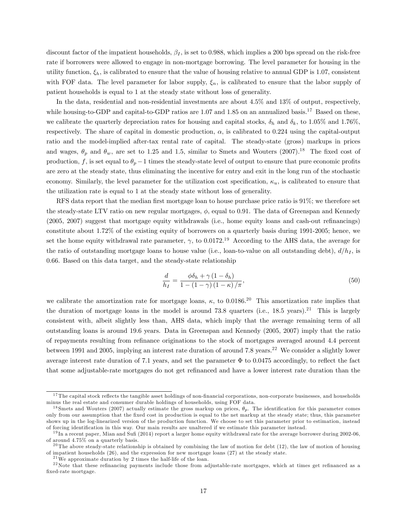discount factor of the impatient households,  $\beta_I$ , is set to 0.988, which implies a 200 bps spread on the risk-free rate if borrowers were allowed to engage in non-mortgage borrowing. The level parameter for housing in the utility function,  $\xi_h$ , is calibrated to ensure that the value of housing relative to annual GDP is 1.07, consistent with FOF data. The level parameter for labor supply,  $\xi_n$ , is calibrated to ensure that the labor supply of patient households is equal to 1 at the steady state without loss of generality.

In the data, residential and non-residential investments are about 4.5% and 13% of output, respectively, while housing-to-GDP and capital-to-GDP ratios are 1.07 and 1.85 on an annualized basis.<sup>17</sup> Based on these, we calibrate the quarterly depreciation rates for housing and capital stocks,  $\delta_h$  and  $\delta_k$ , to 1.05% and 1.76%, respectively. The share of capital in domestic production,  $\alpha$ , is calibrated to 0.224 using the capital-output ratio and the model-implied after-tax rental rate of capital. The steady-state (gross) markups in prices and wages,  $\theta_p$  and  $\theta_w$ , are set to 1.25 and 1.5, similar to Smets and Wouters (2007).<sup>18</sup> The fixed cost of production, f, is set equal to  $\theta_p - 1$  times the steady-state level of output to ensure that pure economic profits are zero at the steady state, thus eliminating the incentive for entry and exit in the long run of the stochastic economy. Similarly, the level parameter for the utilization cost specification,  $\kappa_u$ , is calibrated to ensure that the utilization rate is equal to 1 at the steady state without loss of generality.

RFS data report that the median first mortgage loan to house purchase price ratio is  $91\%$ ; we therefore set the steady-state LTV ratio on new regular mortgages,  $\phi$ , equal to 0.91. The data of Greenspan and Kennedy (2005, 2007) suggest that mortgage equity withdrawals (i.e., home equity loans and cash-out refinancings) constitute about 1.72% of the existing equity of borrowers on a quarterly basis during 1991-2005; hence, we set the home equity withdrawal rate parameter,  $\gamma$ , to 0.0172.<sup>19</sup> According to the AHS data, the average for the ratio of outstanding mortgage loans to house value (i.e., loan-to-value on all outstanding debt),  $d/h_I$ , is 0.66. Based on this data target, and the steady-state relationship

$$
\frac{d}{h_I} = \frac{\phi \delta_h + \gamma \left(1 - \delta_h\right)}{1 - \left(1 - \gamma\right) \left(1 - \kappa\right) / \pi},\tag{50}
$$

we calibrate the amortization rate for mortgage loans,  $\kappa$ , to 0.0186.<sup>20</sup> This amortization rate implies that the duration of mortgage loans in the model is around 73.8 quarters (i.e.,  $18.5$  years).<sup>21</sup> This is largely consistent with, albeit slightly less than, AHS data, which imply that the average remaining term of all outstanding loans is around 19.6 years. Data in Greenspan and Kennedy (2005, 2007) imply that the ratio of repayments resulting from reÖnance originations to the stock of mortgages averaged around 4.4 percent between 1991 and 2005, implying an interest rate duration of around 7.8 years.<sup>22</sup> We consider a slightly lower average interest rate duration of 7.1 years, and set the parameter  $\Phi$  to 0.0475 accordingly, to reflect the fact that some adjustable-rate mortgages do not get refinanced and have a lower interest rate duration than the

 $17$  The capital stock reflects the tangible asset holdings of non-financial corporations, non-corporate businesses, and households minus the real estate and consumer durable holdings of households, using FOF data.

<sup>&</sup>lt;sup>18</sup> Smets and Wouters (2007) actually estimate the gross markup on prices,  $\theta_p$ . The identification for this parameter comes only from our assumption that the Öxed cost in production is equal to the net markup at the steady state; thus, this parameter shows up in the log-linearized version of the production function. We choose to set this parameter prior to estimation, instead of forcing identification in this way. Our main results are unaltered if we estimate this parameter instead.

 $19$  In a recent paper, Mian and Sufi (2014) report a larger home equity withdrawal rate for the average borrower during 2002-06, of around 4.75% on a quarterly basis.

 $^{20}$ The above steady-state relationship is obtained by combining the law of motion for debt (12), the law of motion of housing of impatient households (26), and the expression for new mortgage loans (27) at the steady state.

<sup>21</sup>We approximate duration by 2 times the half-life of the loan.

<sup>&</sup>lt;sup>22</sup>Note that these refinancing payments include those from adjustable-rate mortgages, which at times get refinanced as a fixed-rate mortgage.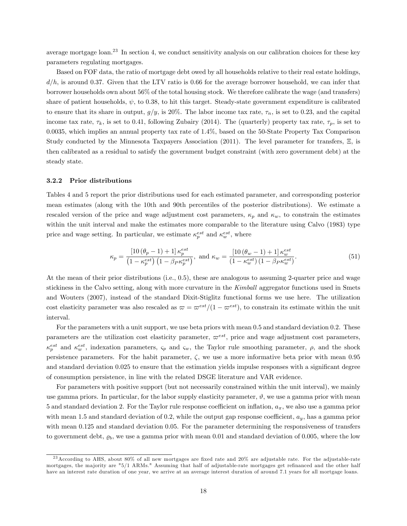average mortgage loan.<sup>23</sup> In section 4, we conduct sensitivity analysis on our calibration choices for these key parameters regulating mortgages.

Based on FOF data, the ratio of mortgage debt owed by all households relative to their real estate holdings,  $d/h$ , is around 0.37. Given that the LTV ratio is 0.66 for the average borrower household, we can infer that borrower households own about 56% of the total housing stock. We therefore calibrate the wage (and transfers) share of patient households,  $\psi$ , to 0.38, to hit this target. Steady-state government expenditure is calibrated to ensure that its share in output,  $g/y$ , is 20%. The labor income tax rate,  $\tau_n$ , is set to 0.23, and the capital income tax rate,  $\tau_k$ , is set to 0.41, following Zubairy (2014). The (quarterly) property tax rate,  $\tau_p$ , is set to 0.0035, which implies an annual property tax rate of 1.4%, based on the 50-State Property Tax Comparison Study conducted by the Minnesota Taxpayers Association (2011). The level parameter for transfers,  $\Xi$ , is then calibrated as a residual to satisfy the government budget constraint (with zero government debt) at the steady state.

#### 3.2.2 Prior distributions

Tables 4 and 5 report the prior distributions used for each estimated parameter, and corresponding posterior mean estimates (along with the 10th and 90th percentiles of the posterior distributions). We estimate a rescaled version of the price and wage adjustment cost parameters,  $\kappa_p$  and  $\kappa_w$ , to constrain the estimates within the unit interval and make the estimates more comparable to the literature using Calvo (1983) type price and wage setting. In particular, we estimate  $\kappa_p^{est}$  and  $\kappa_w^{est}$ , where

$$
\kappa_p = \frac{\left[10\left(\theta_p - 1\right) + 1\right]\kappa_p^{est}}{\left(1 - \kappa_p^{est}\right)\left(1 - \beta_P \kappa_p^{est}\right)}, \text{ and } \kappa_w = \frac{\left[10\left(\theta_w - 1\right) + 1\right]\kappa_w^{est}}{\left(1 - \kappa_w^{est}\right)\left(1 - \beta_P \kappa_w^{est}\right)}.\tag{51}
$$

At the mean of their prior distributions (i.e., 0.5), these are analogous to assuming 2-quarter price and wage stickiness in the Calvo setting, along with more curvature in the Kimball aggregator functions used in Smets and Wouters (2007), instead of the standard Dixit-Stiglitz functional forms we use here. The utilization cost elasticity parameter was also rescaled as  $\varpi = \varpi^{est}/(1 - \varpi^{est})$ , to constrain its estimate within the unit interval.

For the parameters with a unit support, we use beta priors with mean 0.5 and standard deviation 0.2. These parameters are the utilization cost elasticity parameter,  $\varpi^{est}$ , price and wage adjustment cost parameters,  $\kappa_p^{est}$  and  $\kappa_w^{est}$ , indexation parameters,  $\varsigma_p$  and  $\varsigma_w$ , the Taylor rule smoothing parameter,  $\rho$ , and the shock persistence parameters. For the habit parameter,  $\zeta$ , we use a more informative beta prior with mean 0.95 and standard deviation 0.025 to ensure that the estimation yields impulse responses with a significant degree of consumption persistence, in line with the related DSGE literature and VAR evidence.

For parameters with positive support (but not necessarily constrained within the unit interval), we mainly use gamma priors. In particular, for the labor supply elasticity parameter,  $\vartheta$ , we use a gamma prior with mean 5 and standard deviation 2. For the Taylor rule response coefficient on inflation,  $a_{\pi}$ , we also use a gamma prior with mean 1.5 and standard deviation of 0.2, while the output gap response coefficient,  $a_y$ , has a gamma prior with mean 0.125 and standard deviation 0.05. For the parameter determining the responsiveness of transfers to government debt,  $\varrho_b$ , we use a gamma prior with mean 0.01 and standard deviation of 0.005, where the low

 $^{23}$  According to AHS, about 80% of all new mortgages are fixed rate and 20% are adjustable rate. For the adjustable-rate mortgages, the majority are "5/1 ARMs." Assuming that half of adjustable-rate mortgages get refinanced and the other half have an interest rate duration of one year, we arrive at an average interest duration of around 7.1 years for all mortgage loans.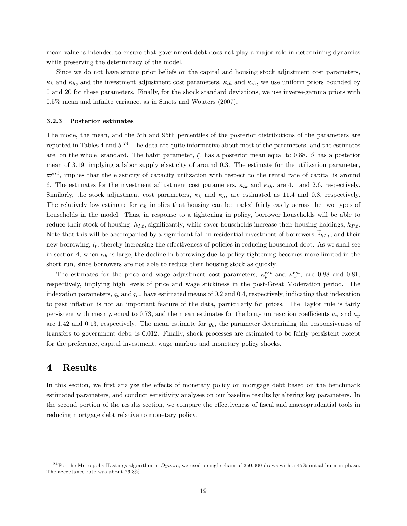mean value is intended to ensure that government debt does not play a major role in determining dynamics while preserving the determinacy of the model.

Since we do not have strong prior beliefs on the capital and housing stock adjustment cost parameters,  $\kappa_k$  and  $\kappa_h$ , and the investment adjustment cost parameters,  $\kappa_{ik}$  and  $\kappa_{ih}$ , we use uniform priors bounded by 0 and 20 for these parameters. Finally, for the shock standard deviations, we use inverse-gamma priors with 0.5% mean and inÖnite variance, as in Smets and Wouters (2007).

#### 3.2.3 Posterior estimates

The mode, the mean, and the 5th and 95th percentiles of the posterior distributions of the parameters are reported in Tables 4 and 5.<sup>24</sup> The data are quite informative about most of the parameters, and the estimates are, on the whole, standard. The habit parameter,  $\zeta$ , has a posterior mean equal to 0.88.  $\vartheta$  has a posterior mean of 3.19, implying a labor supply elasticity of around 0.3. The estimate for the utilization parameter,  $\varpi^{est}$ , implies that the elasticity of capacity utilization with respect to the rental rate of capital is around 6. The estimates for the investment adjustment cost parameters,  $\kappa_{ik}$  and  $\kappa_{ih}$ , are 4.1 and 2.6, respectively. Similarly, the stock adjustment cost parameters,  $\kappa_k$  and  $\kappa_h$ , are estimated as 11.4 and 0.8, respectively. The relatively low estimate for  $\kappa_h$  implies that housing can be traded fairly easily across the two types of households in the model. Thus, in response to a tightening in policy, borrower households will be able to reduce their stock of housing,  $h_{I,t}$ , significantly, while saver households increase their housing holdings,  $h_{P,t}$ . Note that this will be accompanied by a significant fall in residential investment of borrowers,  $i_{hI,t}$ , and their new borrowing,  $l_t$ , thereby increasing the effectiveness of policies in reducing household debt. As we shall see in section 4, when  $\kappa_h$  is large, the decline in borrowing due to policy tightening becomes more limited in the short run, since borrowers are not able to reduce their housing stock as quickly.

The estimates for the price and wage adjustment cost parameters,  $\kappa_p^{est}$  and  $\kappa_w^{est}$ , are 0.88 and 0.81, respectively, implying high levels of price and wage stickiness in the post-Great Moderation period. The indexation parameters,  $\varsigma_p$  and  $\varsigma_w$ , have estimated means of 0.2 and 0.4, respectively, indicating that indexation to past inflation is not an important feature of the data, particularly for prices. The Taylor rule is fairly persistent with mean  $\rho$  equal to 0.73, and the mean estimates for the long-run reaction coefficients  $a_{\pi}$  and  $a_{y}$ are 1.42 and 0.13, respectively. The mean estimate for  $\rho_b$ , the parameter determining the responsiveness of transfers to government debt, is 0.012. Finally, shock processes are estimated to be fairly persistent except for the preference, capital investment, wage markup and monetary policy shocks.

### 4 Results

In this section, we first analyze the effects of monetary policy on mortgage debt based on the benchmark estimated parameters, and conduct sensitivity analyses on our baseline results by altering key parameters. In the second portion of the results section, we compare the effectiveness of fiscal and macroprudential tools in reducing mortgage debt relative to monetary policy.

<sup>&</sup>lt;sup>24</sup>For the Metropolis-Hastings algorithm in *Dynare*, we used a single chain of 250,000 draws with a 45% initial burn-in phase. The acceptance rate was about 26.8%.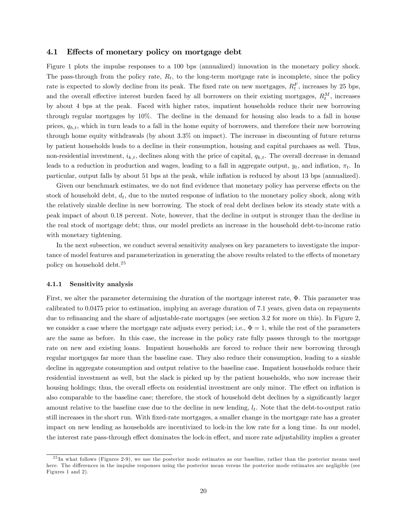#### 4.1 Effects of monetary policy on mortgage debt

Figure 1 plots the impulse responses to a 100 bps (annualized) innovation in the monetary policy shock. The pass-through from the policy rate,  $R_t$ , to the long-term mortgage rate is incomplete, since the policy rate is expected to slowly decline from its peak. The fixed rate on new mortgages,  $R_t^F$ , increases by 25 bps, and the overall effective interest burden faced by all borrowers on their existing mortgages,  $R_t^M$ , increases by about 4 bps at the peak. Faced with higher rates, impatient households reduce their new borrowing through regular mortgages by 10%. The decline in the demand for housing also leads to a fall in house prices,  $q_{h,t}$ , which in turn leads to a fall in the home equity of borrowers, and therefore their new borrowing through home equity withdrawals (by about 3.3% on impact). The increase in discounting of future returns by patient households leads to a decline in their consumption, housing and capital purchases as well. Thus, non-residential investment,  $i_{k,t}$ , declines along with the price of capital,  $q_{k,t}$ . The overall decrease in demand leads to a reduction in production and wages, leading to a fall in aggregate output,  $y_t$ , and inflation,  $\pi_t$ . In particular, output falls by about 51 bps at the peak, while ináation is reduced by about 13 bps (annualized).

Given our benchmark estimates, we do not find evidence that monetary policy has perverse effects on the stock of household debt,  $d_t$ , due to the muted response of inflation to the monetary policy shock, along with the relatively sizable decline in new borrowing. The stock of real debt declines below its steady state with a peak impact of about 0.18 percent. Note, however, that the decline in output is stronger than the decline in the real stock of mortgage debt; thus, our model predicts an increase in the household debt-to-income ratio with monetary tightening.

In the next subsection, we conduct several sensitivity analyses on key parameters to investigate the importance of model features and parameterization in generating the above results related to the effects of monetary policy on household debt.<sup>25</sup>

#### 4.1.1 Sensitivity analysis

First, we alter the parameter determining the duration of the mortgage interest rate,  $\Phi$ . This parameter was calibrated to 0.0475 prior to estimation, implying an average duration of 7.1 years, given data on repayments due to refinancing and the share of adjustable-rate mortgages (see section 3.2 for more on this). In Figure 2, we consider a case where the mortgage rate adjusts every period; i.e.,  $\Phi = 1$ , while the rest of the parameters are the same as before. In this case, the increase in the policy rate fully passes through to the mortgage rate on new and existing loans. Impatient households are forced to reduce their new borrowing through regular mortgages far more than the baseline case. They also reduce their consumption, leading to a sizable decline in aggregate consumption and output relative to the baseline case. Impatient households reduce their residential investment as well, but the slack is picked up by the patient households, who now increase their housing holdings; thus, the overall effects on residential investment are only minor. The effect on inflation is also comparable to the baseline case; therefore, the stock of household debt declines by a significantly larger amount relative to the baseline case due to the decline in new lending,  $l_t$ . Note that the debt-to-output ratio still increases in the short run. With Öxed-rate mortgages, a smaller change in the mortgage rate has a greater impact on new lending as households are incentivized to lock-in the low rate for a long time. In our model, the interest rate pass-through effect dominates the lock-in effect, and more rate adjustability implies a greater

 $^{25}$ In what follows (Figures 2-9), we use the posterior mode estimates as our baseline, rather than the posterior means used here. The differences in the impulse responses using the posterior mean versus the posterior mode estimates are negligible (see Figures 1 and 2).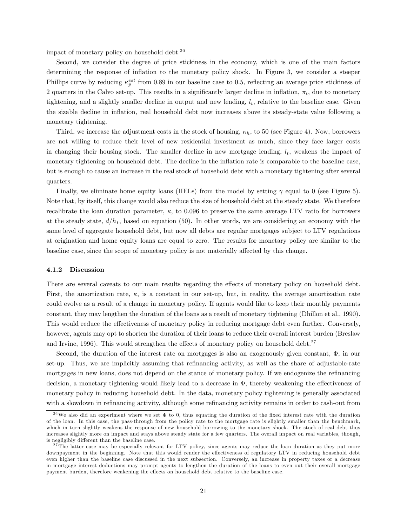impact of monetary policy on household debt.<sup>26</sup>

Second, we consider the degree of price stickiness in the economy, which is one of the main factors determining the response of inflation to the monetary policy shock. In Figure 3, we consider a steeper Phillips curve by reducing  $\kappa_p^{est}$  from 0.89 in our baseline case to 0.5, reflecting an average price stickiness of 2 quarters in the Calvo set-up. This results in a significantly larger decline in inflation,  $\pi_t$ , due to monetary tightening, and a slightly smaller decline in output and new lending,  $l_t$ , relative to the baseline case. Given the sizable decline in inflation, real household debt now increases above its steady-state value following a monetary tightening.

Third, we increase the adjustment costs in the stock of housing,  $\kappa_h$ , to 50 (see Figure 4). Now, borrowers are not willing to reduce their level of new residential investment as much, since they face larger costs in changing their housing stock. The smaller decline in new mortgage lending,  $l_t$ , weakens the impact of monetary tightening on household debt. The decline in the inflation rate is comparable to the baseline case, but is enough to cause an increase in the real stock of household debt with a monetary tightening after several quarters.

Finally, we eliminate home equity loans (HELs) from the model by setting  $\gamma$  equal to 0 (see Figure 5). Note that, by itself, this change would also reduce the size of household debt at the steady state. We therefore recalibrate the loan duration parameter,  $\kappa$ , to 0.096 to preserve the same average LTV ratio for borrowers at the steady state,  $d/h_I$ , based on equation (50). In other words, we are considering an economy with the same level of aggregate household debt, but now all debts are regular mortgages subject to LTV regulations at origination and home equity loans are equal to zero. The results for monetary policy are similar to the baseline case, since the scope of monetary policy is not materially affected by this change.

#### 4.1.2 Discussion

There are several caveats to our main results regarding the effects of monetary policy on household debt. First, the amortization rate,  $\kappa$ , is a constant in our set-up, but, in reality, the average amortization rate could evolve as a result of a change in monetary policy. If agents would like to keep their monthly payments constant, they may lengthen the duration of the loans as a result of monetary tightening (Dhillon et al., 1990). This would reduce the effectiveness of monetary policy in reducing mortgage debt even further. Conversely, however, agents may opt to shorten the duration of their loans to reduce their overall interest burden (Breslaw and Irvine, 1996). This would strengthen the effects of monetary policy on household debt.<sup>27</sup>

Second, the duration of the interest rate on mortgages is also an exogenously given constant,  $\Phi$ , in our set-up. Thus, we are implicitly assuming that refinancing activity, as well as the share of adjustable-rate mortgages in new loans, does not depend on the stance of monetary policy. If we endogenize the refinancing decision, a monetary tightening would likely lead to a decrease in  $\Phi$ , thereby weakening the effectiveness of monetary policy in reducing household debt. In the data, monetary policy tightening is generally associated with a slowdown in refinancing activity, although some refinancing activity remains in order to cash-out from

 $26$  We also did an experiment where we set  $\Phi$  to 0, thus equating the duration of the fixed interest rate with the duration of the loan. In this case, the pass-through from the policy rate to the mortgage rate is slightly smaller than the benchmark, which in turn slightly weakens the response of new household borrowing to the monetary shock. The stock of real debt thus increases slightly more on impact and stays above steady state for a few quarters. The overall impact on real variables, though, is negligibly different than the baseline case.

 $27$ The latter case may be especially relevant for LTV policy, since agents may reduce the loan duration as they put more downpayment in the beginning. Note that this would render the effectiveness of regulatory LTV in reducing household debt even higher than the baseline case discussed in the next subsection. Conversely, an increase in property taxes or a decrease in mortgage interest deductions may prompt agents to lengthen the duration of the loans to even out their overall mortgage payment burden, therefore weakening the effects on household debt relative to the baseline case.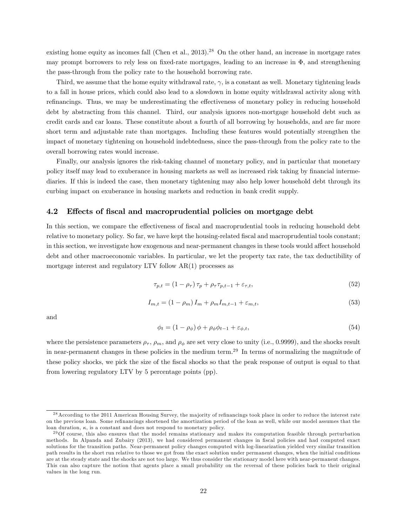existing home equity as incomes fall (Chen et al., 2013).<sup>28</sup> On the other hand, an increase in mortgage rates may prompt borrowers to rely less on fixed-rate mortgages, leading to an increase in  $\Phi$ , and strengthening the pass-through from the policy rate to the household borrowing rate.

Third, we assume that the home equity withdrawal rate,  $\gamma$ , is a constant as well. Monetary tightening leads to a fall in house prices, which could also lead to a slowdown in home equity withdrawal activity along with refinancings. Thus, we may be underestimating the effectiveness of monetary policy in reducing household debt by abstracting from this channel. Third, our analysis ignores non-mortgage household debt such as credit cards and car loans. These constitute about a fourth of all borrowing by households, and are far more short term and adjustable rate than mortgages. Including these features would potentially strengthen the impact of monetary tightening on household indebtedness, since the pass-through from the policy rate to the overall borrowing rates would increase.

Finally, our analysis ignores the risk-taking channel of monetary policy, and in particular that monetary policy itself may lead to exuberance in housing markets as well as increased risk taking by financial intermediaries. If this is indeed the case, then monetary tightening may also help lower household debt through its curbing impact on exuberance in housing markets and reduction in bank credit supply.

#### 4.2 Effects of fiscal and macroprudential policies on mortgage debt

In this section, we compare the effectiveness of fiscal and macroprudential tools in reducing household debt relative to monetary policy. So far, we have kept the housing-related fiscal and macroprudential tools constant; in this section, we investigate how exogenous and near-permanent changes in these tools would affect household debt and other macroeconomic variables. In particular, we let the property tax rate, the tax deductibility of mortgage interest and regulatory LTV follow AR(1) processes as

$$
\tau_{p,t} = (1 - \rho_\tau) \tau_p + \rho_\tau \tau_{p,t-1} + \varepsilon_{\tau,t},\tag{52}
$$

$$
I_{m,t} = \left(1 - \rho_m\right)I_m + \rho_m I_{m,t-1} + \varepsilon_{m,t},\tag{53}
$$

and

$$
\phi_t = (1 - \rho_\phi) \phi + \rho_\phi \phi_{t-1} + \varepsilon_{\phi, t},\tag{54}
$$

where the persistence parameters  $\rho_{\tau}$ ,  $\rho_{m}$ , and  $\rho_{\phi}$  are set very close to unity (i.e., 0.9999), and the shocks result in near-permanent changes in these policies in the medium term.<sup>29</sup> In terms of normalizing the magnitude of these policy shocks, we pick the size of the Öscal shocks so that the peak response of output is equal to that from lowering regulatory LTV by 5 percentage points (pp).

 $^{28}$  According to the 2011 American Housing Survey, the majority of refinancings took place in order to reduce the interest rate on the previous loan. Some reÖnancings shortened the amortization period of the loan as well, while our model assumes that the loan duration,  $\kappa$ , is a constant and does not respond to monetary policy.

 $29$ Of course, this also ensures that the model remains stationary and makes its computation feasible through perturbation methods. In Alpanda and Zubairy (2013), we had considered permanent changes in fiscal policies and had computed exact solutions for the transition paths. Near-permanent policy changes computed with log-linearization yielded very similar transition path results in the short run relative to those we got from the exact solution under permanent changes, when the initial conditions are at the steady state and the shocks are not too large. We thus consider the stationary model here with near-permanent changes. This can also capture the notion that agents place a small probability on the reversal of these policies back to their original values in the long run.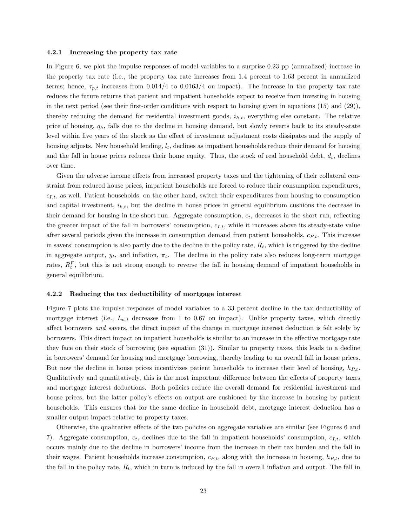#### 4.2.1 Increasing the property tax rate

In Figure 6, we plot the impulse responses of model variables to a surprise 0.23 pp (annualized) increase in the property tax rate (i.e., the property tax rate increases from 1.4 percent to 1.63 percent in annualized terms; hence,  $\tau_{p,t}$  increases from 0.014/4 to 0.0163/4 on impact). The increase in the property tax rate reduces the future returns that patient and impatient households expect to receive from investing in housing in the next period (see their first-order conditions with respect to housing given in equations  $(15)$  and  $(29)$ ), thereby reducing the demand for residential investment goods,  $i_{h,t}$ , everything else constant. The relative price of housing,  $q_h$ , falls due to the decline in housing demand, but slowly reverts back to its steady-state level within five years of the shock as the effect of investment adjustment costs dissipates and the supply of housing adjusts. New household lending,  $l_t$ , declines as impatient households reduce their demand for housing and the fall in house prices reduces their home equity. Thus, the stock of real household debt,  $d_t$ , declines over time.

Given the adverse income effects from increased property taxes and the tightening of their collateral constraint from reduced house prices, impatient households are forced to reduce their consumption expenditures,  $c_{I,t}$ , as well. Patient households, on the other hand, switch their expenditures from housing to consumption and capital investment,  $i_{k,t}$ , but the decline in house prices in general equilibrium cushions the decrease in their demand for housing in the short run. Aggregate consumption,  $c_t$ , decreases in the short run, reflecting the greater impact of the fall in borrowers' consumption,  $c_{I,t}$ , while it increases above its steady-state value after several periods given the increase in consumption demand from patient households,  $c_{Pt}$ . This increase in savers' consumption is also partly due to the decline in the policy rate,  $R_t$ , which is triggered by the decline in aggregate output,  $y_t$ , and inflation,  $\pi_t$ . The decline in the policy rate also reduces long-term mortgage rates,  $R_t^F$ , but this is not strong enough to reverse the fall in housing demand of impatient households in general equilibrium.

#### 4.2.2 Reducing the tax deductibility of mortgage interest

Figure 7 plots the impulse responses of model variables to a 33 percent decline in the tax deductibility of mortgage interest (i.e.,  $I_{m,t}$  decreases from 1 to 0.67 on impact). Unlike property taxes, which directly affect borrowers and savers, the direct impact of the change in mortgage interest deduction is felt solely by borrowers. This direct impact on impatient households is similar to an increase in the effective mortgage rate they face on their stock of borrowing (see equation (31)). Similar to property taxes, this leads to a decline in borrowers' demand for housing and mortgage borrowing, thereby leading to an overall fall in house prices. But now the decline in house prices incentivizes patient households to increase their level of housing,  $h_{P,t}$ . Qualitatively and quantitatively, this is the most important difference between the effects of property taxes and mortgage interest deductions. Both policies reduce the overall demand for residential investment and house prices, but the latter policy's effects on output are cushioned by the increase in housing by patient households. This ensures that for the same decline in household debt, mortgage interest deduction has a smaller output impact relative to property taxes.

Otherwise, the qualitative effects of the two policies on aggregate variables are similar (see Figures 6 and 7). Aggregate consumption,  $c_t$ , declines due to the fall in impatient households' consumption,  $c_{I,t}$ , which occurs mainly due to the decline in borrowers' income from the increase in their tax burden and the fall in their wages. Patient households increase consumption,  $c_{P,t}$ , along with the increase in housing,  $h_{P,t}$ , due to the fall in the policy rate,  $R_t$ , which in turn is induced by the fall in overall inflation and output. The fall in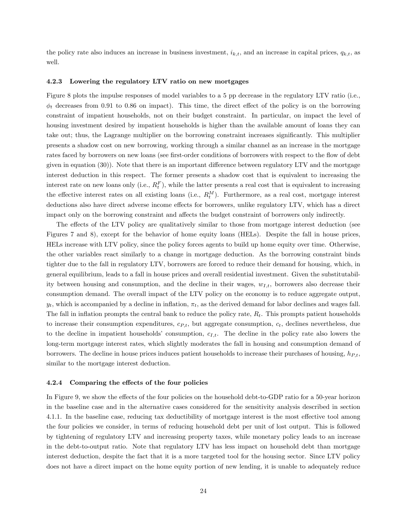the policy rate also induces an increase in business investment,  $i_{k,t}$ , and an increase in capital prices,  $q_{k,t}$ , as well.

#### 4.2.3 Lowering the regulatory LTV ratio on new mortgages

Figure 8 plots the impulse responses of model variables to a 5 pp decrease in the regulatory LTV ratio (i.e.,  $\phi_t$  decreases from 0.91 to 0.86 on impact). This time, the direct effect of the policy is on the borrowing constraint of impatient households, not on their budget constraint. In particular, on impact the level of housing investment desired by impatient households is higher than the available amount of loans they can take out; thus, the Lagrange multiplier on the borrowing constraint increases significantly. This multiplier presents a shadow cost on new borrowing, working through a similar channel as an increase in the mortgage rates faced by borrowers on new loans (see first-order conditions of borrowers with respect to the flow of debt given in equation  $(30)$ ). Note that there is an important difference between regulatory LTV and the mortgage interest deduction in this respect. The former presents a shadow cost that is equivalent to increasing the interest rate on new loans only (i.e.,  $R_t^F$ ), while the latter presents a real cost that is equivalent to increasing the effective interest rates on all existing loans (i.e.,  $R_t^M$ ). Furthermore, as a real cost, mortgage interest deductions also have direct adverse income effects for borrowers, unlike regulatory LTV, which has a direct impact only on the borrowing constraint and affects the budget constraint of borrowers only indirectly.

The effects of the LTV policy are qualitatively similar to those from mortgage interest deduction (see Figures 7 and 8), except for the behavior of home equity loans (HELs). Despite the fall in house prices, HELs increase with LTV policy, since the policy forces agents to build up home equity over time. Otherwise, the other variables react similarly to a change in mortgage deduction. As the borrowing constraint binds tighter due to the fall in regulatory LTV, borrowers are forced to reduce their demand for housing, which, in general equilibrium, leads to a fall in house prices and overall residential investment. Given the substitutability between housing and consumption, and the decline in their wages,  $w_{I,t}$ , borrowers also decrease their consumption demand. The overall impact of the LTV policy on the economy is to reduce aggregate output,  $y_t$ , which is accompanied by a decline in inflation,  $\pi_t$ , as the derived demand for labor declines and wages fall. The fall in inflation prompts the central bank to reduce the policy rate,  $R_t$ . This prompts patient households to increase their consumption expenditures,  $c_{P,t}$ , but aggregate consumption,  $c_t$ , declines nevertheless, due to the decline in impatient households' consumption,  $c_{I,t}$ . The decline in the policy rate also lowers the long-term mortgage interest rates, which slightly moderates the fall in housing and consumption demand of borrowers. The decline in house prices induces patient households to increase their purchases of housing,  $h_{P,t}$ , similar to the mortgage interest deduction.

#### 4.2.4 Comparing the effects of the four policies

In Figure 9, we show the effects of the four policies on the household debt-to-GDP ratio for a 50-year horizon in the baseline case and in the alternative cases considered for the sensitivity analysis described in section 4.1.1. In the baseline case, reducing tax deductibility of mortgage interest is the most effective tool among the four policies we consider, in terms of reducing household debt per unit of lost output. This is followed by tightening of regulatory LTV and increasing property taxes, while monetary policy leads to an increase in the debt-to-output ratio. Note that regulatory LTV has less impact on household debt than mortgage interest deduction, despite the fact that it is a more targeted tool for the housing sector. Since LTV policy does not have a direct impact on the home equity portion of new lending, it is unable to adequately reduce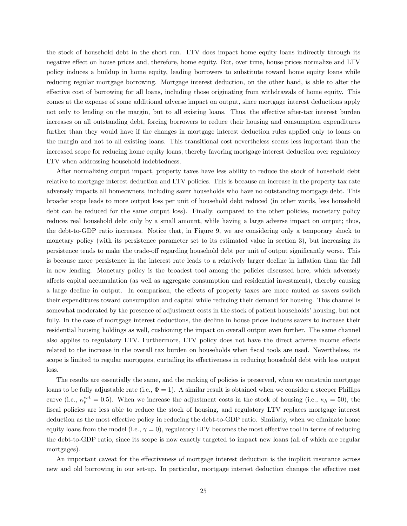the stock of household debt in the short run. LTV does impact home equity loans indirectly through its negative effect on house prices and, therefore, home equity. But, over time, house prices normalize and LTV policy induces a buildup in home equity, leading borrowers to substitute toward home equity loans while reducing regular mortgage borrowing. Mortgage interest deduction, on the other hand, is able to alter the effective cost of borrowing for all loans, including those originating from withdrawals of home equity. This comes at the expense of some additional adverse impact on output, since mortgage interest deductions apply not only to lending on the margin, but to all existing loans. Thus, the effective after-tax interest burden increases on all outstanding debt, forcing borrowers to reduce their housing and consumption expenditures further than they would have if the changes in mortgage interest deduction rules applied only to loans on the margin and not to all existing loans. This transitional cost nevertheless seems less important than the increased scope for reducing home equity loans, thereby favoring mortgage interest deduction over regulatory LTV when addressing household indebtedness.

After normalizing output impact, property taxes have less ability to reduce the stock of household debt relative to mortgage interest deduction and LTV policies. This is because an increase in the property tax rate adversely impacts all homeowners, including saver households who have no outstanding mortgage debt. This broader scope leads to more output loss per unit of household debt reduced (in other words, less household debt can be reduced for the same output loss). Finally, compared to the other policies, monetary policy reduces real household debt only by a small amount, while having a large adverse impact on output; thus, the debt-to-GDP ratio increases. Notice that, in Figure 9, we are considering only a temporary shock to monetary policy (with its persistence parameter set to its estimated value in section 3), but increasing its persistence tends to make the trade-off regarding household debt per unit of output significantly worse. This is because more persistence in the interest rate leads to a relatively larger decline in ináation than the fall in new lending. Monetary policy is the broadest tool among the policies discussed here, which adversely a§ects capital accumulation (as well as aggregate consumption and residential investment), thereby causing a large decline in output. In comparison, the effects of property taxes are more muted as savers switch their expenditures toward consumption and capital while reducing their demand for housing. This channel is somewhat moderated by the presence of adjustment costs in the stock of patient households' housing, but not fully. In the case of mortgage interest deductions, the decline in house prices induces savers to increase their residential housing holdings as well, cushioning the impact on overall output even further. The same channel also applies to regulatory LTV. Furthermore, LTV policy does not have the direct adverse income effects related to the increase in the overall tax burden on households when fiscal tools are used. Nevertheless, its scope is limited to regular mortgages, curtailing its effectiveness in reducing household debt with less output loss.

The results are essentially the same, and the ranking of policies is preserved, when we constrain mortgage loans to be fully adjustable rate (i.e.,  $\Phi = 1$ ). A similar result is obtained when we consider a steeper Phillips curve (i.e.,  $\kappa_p^{est} = 0.5$ ). When we increase the adjustment costs in the stock of housing (i.e.,  $\kappa_h = 50$ ), the fiscal policies are less able to reduce the stock of housing, and regulatory LTV replaces mortgage interest deduction as the most effective policy in reducing the debt-to-GDP ratio. Similarly, when we eliminate home equity loans from the model (i.e.,  $\gamma = 0$ ), regulatory LTV becomes the most effective tool in terms of reducing the debt-to-GDP ratio, since its scope is now exactly targeted to impact new loans (all of which are regular mortgages).

An important caveat for the effectiveness of mortgage interest deduction is the implicit insurance across new and old borrowing in our set-up. In particular, mortgage interest deduction changes the effective cost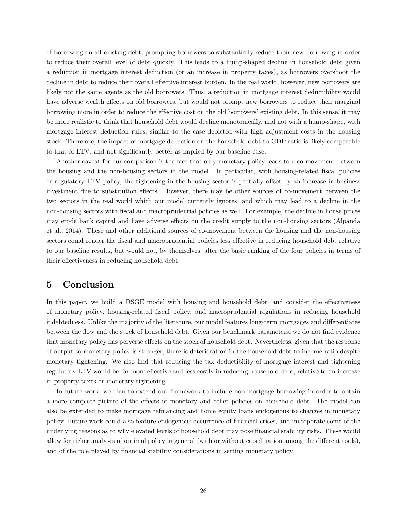of borrowing on all existing debt, prompting borrowers to substantially reduce their new borrowing in order to reduce their overall level of debt quickly. This leads to a hump-shaped decline in household debt given a reduction in mortgage interest deduction (or an increase in property taxes), as borrowers overshoot the decline in debt to reduce their overall effective interest burden. In the real world, however, new borrowers are likely not the same agents as the old borrowers. Thus, a reduction in mortgage interest deductibility would have adverse wealth effects on old borrowers, but would not prompt new borrowers to reduce their marginal borrowing more in order to reduce the effective cost on the old borrowers' existing debt. In this sense, it may be more realistic to think that household debt would decline monotonically, and not with a hump-shape, with mortgage interest deduction rules, similar to the case depicted with high adjustment costs in the housing stock. Therefore, the impact of mortgage deduction on the household debt-to-GDP ratio is likely comparable to that of LTV, and not significantly better as implied by our baseline case.

Another caveat for our comparison is the fact that only monetary policy leads to a co-movement between the housing and the non-housing sectors in the model. In particular, with housing-related fiscal policies or regulatory LTV policy, the tightening in the housing sector is partially offset by an increase in business investment due to substitution effects. However, there may be other sources of co-movement between the two sectors in the real world which our model currently ignores, and which may lead to a decline in the non-housing sectors with Öscal and macroprudential policies as well. For example, the decline in house prices may erode bank capital and have adverse effects on the credit supply to the non-housing sectors (Alpanda et al., 2014). These and other additional sources of co-movement between the housing and the non-housing sectors could render the fiscal and macroprudential policies less effective in reducing household debt relative to our baseline results, but would not, by themselves, alter the basic ranking of the four policies in terms of their effectiveness in reducing household debt.

## 5 Conclusion

In this paper, we build a DSGE model with housing and household debt, and consider the effectiveness of monetary policy, housing-related Öscal policy, and macroprudential regulations in reducing household indebtedness. Unlike the majority of the literature, our model features long-term mortgages and differentiates between the flow and the stock of household debt. Given our benchmark parameters, we do not find evidence that monetary policy has perverse effects on the stock of household debt. Nevertheless, given that the response of output to monetary policy is stronger, there is deterioration in the household debt-to-income ratio despite monetary tightening. We also find that reducing the tax deductibility of mortgage interest and tightening regulatory LTV would be far more effective and less costly in reducing household debt, relative to an increase in property taxes or monetary tightening.

In future work, we plan to extend our framework to include non-mortgage borrowing in order to obtain a more complete picture of the effects of monetary and other policies on household debt. The model can also be extended to make mortgage refinancing and home equity loans endogenous to changes in monetary policy. Future work could also feature endogenous occurrence of financial crises, and incorporate some of the underlying reasons as to why elevated levels of household debt may pose financial stability risks. These would allow for richer analyses of optimal policy in general (with or without coordination among the different tools), and of the role played by financial stability considerations in setting monetary policy.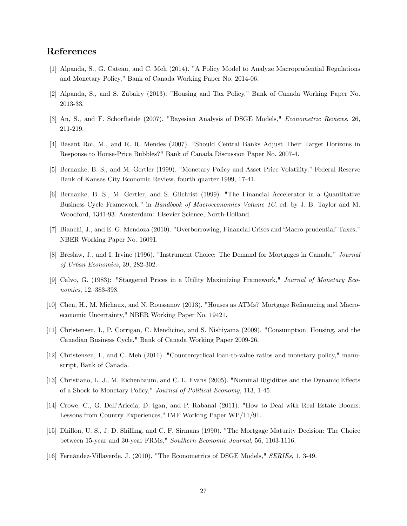## References

- [1] Alpanda, S., G. Cateau, and C. Meh (2014). "A Policy Model to Analyze Macroprudential Regulations and Monetary Policy," Bank of Canada Working Paper No. 2014-06.
- [2] Alpanda, S., and S. Zubairy (2013). "Housing and Tax Policy," Bank of Canada Working Paper No. 2013-33.
- [3] An, S., and F. Schorfheide (2007). "Bayesian Analysis of DSGE Models," Econometric Reviews, 26, 211-219.
- [4] Basant Roi, M., and R. R. Mendes (2007). "Should Central Banks Adjust Their Target Horizons in Response to House-Price Bubbles?" Bank of Canada Discussion Paper No. 2007-4.
- [5] Bernanke, B. S., and M. Gertler (1999). "Monetary Policy and Asset Price Volatility," Federal Reserve Bank of Kansas City Economic Review, fourth quarter 1999, 17-41.
- [6] Bernanke, B. S., M. Gertler, and S. Gilchrist (1999). "The Financial Accelerator in a Quantitative Business Cycle Framework." in *Handbook of Macroeconomics Volume 1C*, ed. by J. B. Taylor and M. Woodford, 1341-93. Amsterdam: Elsevier Science, North-Holland.
- [7] Bianchi, J., and E. G. Mendoza (2010). "Overborrowing, Financial Crises and 'Macro-prudential' Taxes," NBER Working Paper No. 16091.
- [8] Breslaw, J., and I. Irvine (1996). "Instrument Choice: The Demand for Mortgages in Canada," Journal of Urban Economics, 39, 282-302.
- [9] Calvo, G. (1983): "Staggered Prices in a Utility Maximizing Framework," Journal of Monetary Economics, 12, 383-398.
- [10] Chen, H., M. Michaux, and N. Roussanov (2013). "Houses as ATMs? Mortgage Refinancing and Macroeconomic Uncertainty," NBER Working Paper No. 19421.
- [11] Christensen, I., P. Corrigan, C. Mendicino, and S. Nishiyama (2009). "Consumption, Housing, and the Canadian Business Cycle," Bank of Canada Working Paper 2009-26.
- [12] Christensen, I., and C. Meh (2011). "Countercyclical loan-to-value ratios and monetary policy," manuscript, Bank of Canada.
- [13] Christiano, L. J., M. Eichenbaum, and C. L. Evans (2005). "Nominal Rigidities and the Dynamic Effects of a Shock to Monetary Policy," Journal of Political Economy, 113, 1-45.
- [14] Crowe, C., G. Dell'Ariccia, D. Igan, and P. Rabanal (2011). "How to Deal with Real Estate Booms: Lessons from Country Experiences," IMF Working Paper WP/11/91.
- [15] Dhillon, U. S., J. D. Shilling, and C. F. Sirmans (1990). "The Mortgage Maturity Decision: The Choice between 15-year and 30-year FRMs," Southern Economic Journal, 56, 1103-1116.
- [16] Fernández-Villaverde, J. (2010). "The Econometrics of DSGE Models," SERIEs, 1, 3-49.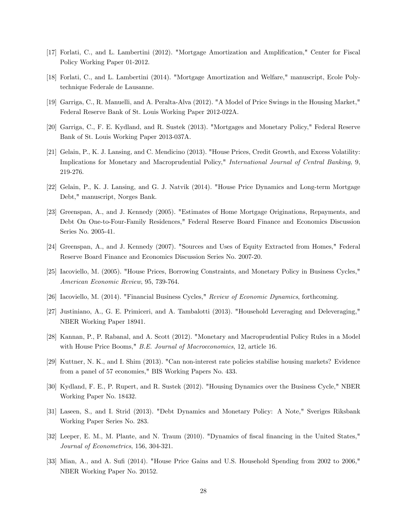- [17] Forlati, C., and L. Lambertini (2012). "Mortgage Amortization and Amplification," Center for Fiscal Policy Working Paper 01-2012.
- [18] Forlati, C., and L. Lambertini (2014). "Mortgage Amortization and Welfare," manuscript, Ecole Polytechnique Federale de Lausanne.
- [19] Garriga, C., R. Manuelli, and A. Peralta-Alva (2012). "A Model of Price Swings in the Housing Market," Federal Reserve Bank of St. Louis Working Paper 2012-022A.
- [20] Garriga, C., F. E. Kydland, and R. Sustek (2013). "Mortgages and Monetary Policy," Federal Reserve Bank of St. Louis Working Paper 2013-037A.
- [21] Gelain, P., K. J. Lansing, and C. Mendicino (2013). "House Prices, Credit Growth, and Excess Volatility: Implications for Monetary and Macroprudential Policy," International Journal of Central Banking, 9, 219-276.
- [22] Gelain, P., K. J. Lansing, and G. J. Natvik (2014). "House Price Dynamics and Long-term Mortgage Debt," manuscript, Norges Bank.
- [23] Greenspan, A., and J. Kennedy (2005). "Estimates of Home Mortgage Originations, Repayments, and Debt On One-to-Four-Family Residences," Federal Reserve Board Finance and Economics Discussion Series No. 2005-41.
- [24] Greenspan, A., and J. Kennedy (2007). "Sources and Uses of Equity Extracted from Homes," Federal Reserve Board Finance and Economics Discussion Series No. 2007-20.
- [25] Iacoviello, M. (2005). "House Prices, Borrowing Constraints, and Monetary Policy in Business Cycles," American Economic Review, 95, 739-764.
- [26] Iacoviello, M. (2014). "Financial Business Cycles," Review of Economic Dynamics, forthcoming.
- [27] Justiniano, A., G. E. Primiceri, and A. Tambalotti (2013). "Household Leveraging and Deleveraging," NBER Working Paper 18941.
- [28] Kannan, P., P. Rabanal, and A. Scott (2012). "Monetary and Macroprudential Policy Rules in a Model with House Price Booms," B.E. Journal of Macroeconomics, 12, article 16.
- [29] Kuttner, N. K., and I. Shim (2013). "Can non-interest rate policies stabilise housing markets? Evidence from a panel of 57 economies," BIS Working Papers No. 433.
- [30] Kydland, F. E., P. Rupert, and R. Sustek (2012). "Housing Dynamics over the Business Cycle," NBER Working Paper No. 18432.
- [31] Laseen, S., and I. Strid (2013). "Debt Dynamics and Monetary Policy: A Note," Sveriges Riksbank Working Paper Series No. 283.
- [32] Leeper, E. M., M. Plante, and N. Traum (2010). "Dynamics of fiscal financing in the United States," Journal of Econometrics, 156, 304-321.
- [33] Mian, A., and A. Sufi (2014). "House Price Gains and U.S. Household Spending from 2002 to 2006," NBER Working Paper No. 20152.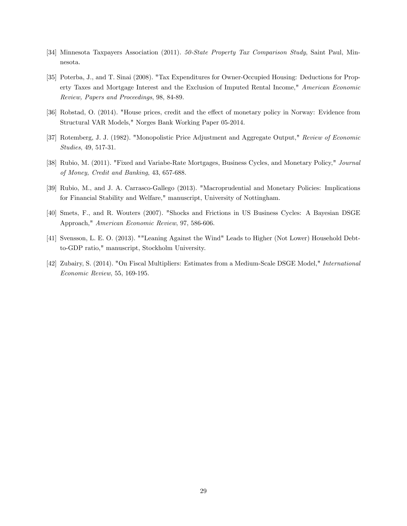- [34] Minnesota Taxpayers Association (2011). 50-State Property Tax Comparison Study, Saint Paul, Minnesota.
- [35] Poterba, J., and T. Sinai (2008). "Tax Expenditures for Owner-Occupied Housing: Deductions for Property Taxes and Mortgage Interest and the Exclusion of Imputed Rental Income," American Economic Review, Papers and Proceedings, 98, 84-89.
- [36] Robstad, O. (2014). "House prices, credit and the effect of monetary policy in Norway: Evidence from Structural VAR Models," Norges Bank Working Paper 05-2014.
- [37] Rotemberg, J. J. (1982). "Monopolistic Price Adjustment and Aggregate Output," Review of Economic Studies, 49, 517-31.
- [38] Rubio, M. (2011). "Fixed and Variabe-Rate Mortgages, Business Cycles, and Monetary Policy," Journal of Money, Credit and Banking, 43, 657-688.
- [39] Rubio, M., and J. A. Carrasco-Gallego (2013). "Macroprudential and Monetary Policies: Implications for Financial Stability and Welfare," manuscript, University of Nottingham.
- [40] Smets, F., and R. Wouters (2007). "Shocks and Frictions in US Business Cycles: A Bayesian DSGE Approach," American Economic Review, 97, 586-606.
- [41] Svensson, L. E. O. (2013). ""Leaning Against the Wind" Leads to Higher (Not Lower) Household Debtto-GDP ratio," manuscript, Stockholm University.
- [42] Zubairy, S. (2014). "On Fiscal Multipliers: Estimates from a Medium-Scale DSGE Model," International Economic Review, 55, 169-195.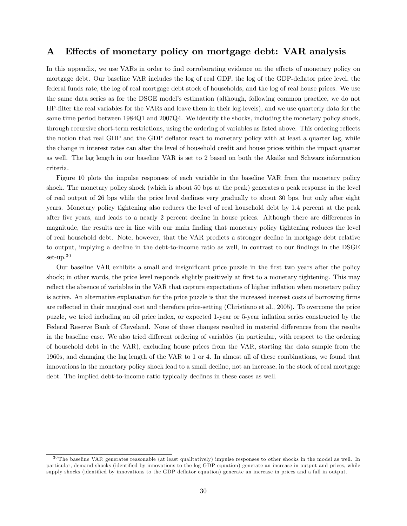### A Effects of monetary policy on mortgage debt: VAR analysis

In this appendix, we use VARs in order to find corroborating evidence on the effects of monetary policy on mortgage debt. Our baseline VAR includes the log of real GDP, the log of the GDP-deáator price level, the federal funds rate, the log of real mortgage debt stock of households, and the log of real house prices. We use the same data series as for the DSGE modelís estimation (although, following common practice, we do not HP-Ölter the real variables for the VARs and leave them in their log-levels), and we use quarterly data for the same time period between 1984Q1 and 2007Q4. We identify the shocks, including the monetary policy shock, through recursive short-term restrictions, using the ordering of variables as listed above. This ordering reflects the notion that real GDP and the GDP deflator react to monetary policy with at least a quarter lag, while the change in interest rates can alter the level of household credit and house prices within the impact quarter as well. The lag length in our baseline VAR is set to 2 based on both the Akaike and Schwarz information criteria.

Figure 10 plots the impulse responses of each variable in the baseline VAR from the monetary policy shock. The monetary policy shock (which is about 50 bps at the peak) generates a peak response in the level of real output of 26 bps while the price level declines very gradually to about 30 bps, but only after eight years. Monetary policy tightening also reduces the level of real household debt by 1.4 percent at the peak after five years, and leads to a nearly 2 percent decline in house prices. Although there are differences in magnitude, the results are in line with our main Önding that monetary policy tightening reduces the level of real household debt. Note, however, that the VAR predicts a stronger decline in mortgage debt relative to output, implying a decline in the debt-to-income ratio as well, in contrast to our findings in the DSGE  $set-up.^{30}$ 

Our baseline VAR exhibits a small and insignificant price puzzle in the first two years after the policy shock; in other words, the price level responds slightly positively at first to a monetary tightening. This may reflect the absence of variables in the VAR that capture expectations of higher inflation when monetary policy is active. An alternative explanation for the price puzzle is that the increased interest costs of borrowing firms are reflected in their marginal cost and therefore price-setting (Christiano et al., 2005). To overcome the price puzzle, we tried including an oil price index, or expected 1-year or 5-year ináation series constructed by the Federal Reserve Bank of Cleveland. None of these changes resulted in material differences from the results in the baseline case. We also tried different ordering of variables (in particular, with respect to the ordering of household debt in the VAR), excluding house prices from the VAR, starting the data sample from the 1960s, and changing the lag length of the VAR to 1 or 4. In almost all of these combinations, we found that innovations in the monetary policy shock lead to a small decline, not an increase, in the stock of real mortgage debt. The implied debt-to-income ratio typically declines in these cases as well.

<sup>30</sup> The baseline VAR generates reasonable (at least qualitatively) impulse responses to other shocks in the model as well. In particular, demand shocks (identified by innovations to the log GDP equation) generate an increase in output and prices, while supply shocks (identified by innovations to the GDP deflator equation) generate an increase in prices and a fall in output.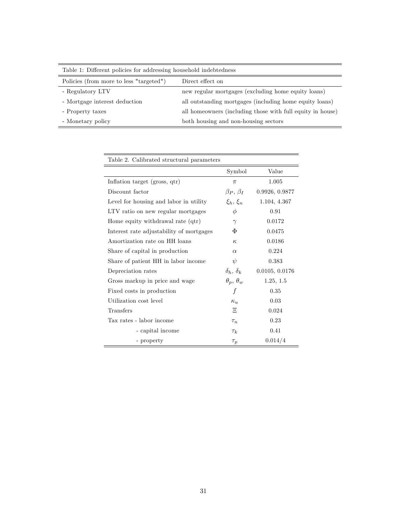| Table 1: Different policies for addressing household indebtedness |                                                            |  |  |  |
|-------------------------------------------------------------------|------------------------------------------------------------|--|--|--|
| Policies (from more to less "targeted")                           | Direct effect on                                           |  |  |  |
| - Regulatory LTV                                                  | new regular mortgages (excluding home equity loans)        |  |  |  |
| - Mortgage interest deduction                                     | all outstanding mortgages (including home equity loans)    |  |  |  |
| - Property taxes                                                  | all homeowners (including those with full equity in house) |  |  |  |
| - Monetary policy                                                 | both housing and non-housing sectors                       |  |  |  |

| Table 2. Calibrated structural parameters |                         |                |
|-------------------------------------------|-------------------------|----------------|
|                                           | Symbol                  | Value          |
| Inflation target (gross, qtr)             | $\pi$                   | 1.005          |
| Discount factor                           | $\beta_P, \beta_I$      | 0.9926, 0.9877 |
| Level for housing and labor in utility    | $\xi_h, \xi_n$          | 1.104, 4.367   |
| LTV ratio on new regular mortgages        | Φ                       | 0.91           |
| Home equity withdrawal rate (qtr)         | $\gamma$                | 0.0172         |
| Interest rate adjustability of mortgages  | Φ                       | 0.0475         |
| Amortization rate on HH loans             | $\kappa$                | 0.0186         |
| Share of capital in production            | $\alpha$                | 0.224          |
| Share of patient HH in labor income       | $\psi$                  | 0.383          |
| Depreciation rates                        | $\delta_h$ , $\delta_k$ | 0.0105, 0.0176 |
| Gross markup in price and wage            | $\theta_p, \theta_w$    | 1.25, 1.5      |
| Fixed costs in production                 | f                       | 0.35           |
| Utilization cost level                    | $\kappa_u$              | 0.03           |
| Transfers                                 | Ξ                       | 0.024          |
| Tax rates - labor income                  | $\tau_n$                | 0.23           |
| - capital income                          | $\tau_k$                | 0.41           |
| - property                                | $\tau_p$                | 0.014/4        |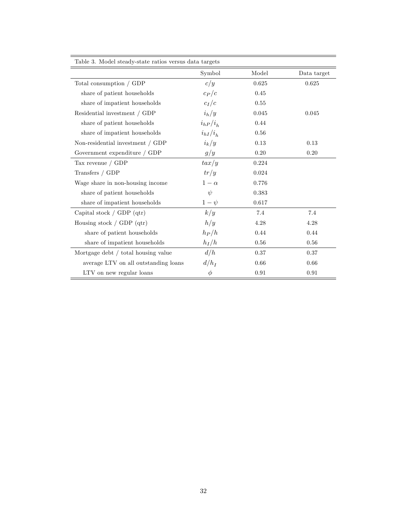|                                      | Symbol       | Model | Data target |
|--------------------------------------|--------------|-------|-------------|
| Total consumption / GDP              | c/y          | 0.625 | 0.625       |
| share of patient households          | $c_P/c$      | 0.45  |             |
| share of impatient households        | $c_I/c$      | 0.55  |             |
| Residential investment / GDP         | $i_h/y$      | 0.045 | 0.045       |
| share of patient households          | $i_{hP}/i_h$ | 0.44  |             |
| share of impatient households        | $i_{hI}/i_h$ | 0.56  |             |
| Non-residential investment / GDP     | $i_k/y$      | 0.13  | 0.13        |
| Government expenditure / GDP         | g/y          | 0.20  | 0.20        |
| Tax revenue / GDP                    | tax/y        | 0.224 |             |
| Transfers / GDP                      | tr/y         | 0.024 |             |
| Wage share in non-housing income     | $1-\alpha$   | 0.776 |             |
| share of patient households          | $\psi$       | 0.383 |             |
| share of impatient households        | $1-\psi$     | 0.617 |             |
| Capital stock / GDP $(qtr)$          | k/y          | 7.4   | 7.4         |
| Housing stock $/$ GDP $(qtr)$        | h/y          | 4.28  | 4.28        |
| share of patient households          | $h_P/h$      | 0.44  | 0.44        |
| share of impatient households        | $h_I/h$      | 0.56  | 0.56        |
| Mortgage debt / total housing value  | d/h          | 0.37  | 0.37        |
| average LTV on all outstanding loans | $d/h_I$      | 0.66  | 0.66        |
| LTV on new regular loans             | $\phi$       | 0.91  | 0.91        |

Table 3. Model steady-state ratios versus data targets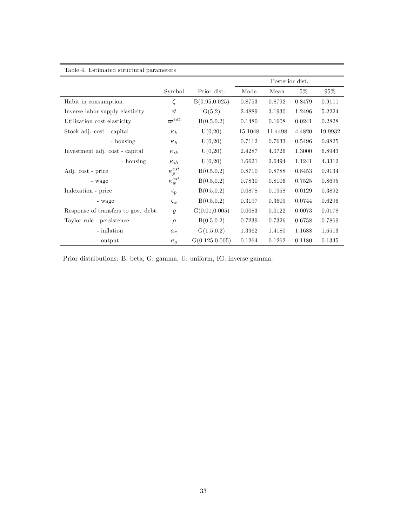| Table 4. Estimated structural parameters |                  |                 |                 |         |        |         |
|------------------------------------------|------------------|-----------------|-----------------|---------|--------|---------|
|                                          |                  |                 | Posterior dist. |         |        |         |
|                                          | Symbol           | Prior dist.     | Mode            | Mean    | $5\%$  | $95\%$  |
| Habit in consumption                     | $\zeta$          | B(0.95, 0.025)  | 0.8753          | 0.8792  | 0.8479 | 0.9111  |
| Inverse labor supply elasticity          | $\vartheta$      | G(5,2)          | 2.4889          | 3.1930  | 1.2496 | 5.2224  |
| Utilization cost elasticity              | $\varpi^{est}$   | B(0.5, 0.2)     | 0.1480          | 0.1608  | 0.0241 | 0.2828  |
| Stock adj. cost - capital                | $\kappa_k$       | U(0,20)         | 15.1048         | 11.4498 | 4.4820 | 19.9932 |
| - housing                                | $\kappa_h$       | U(0,20)         | 0.7112          | 0.7633  | 0.5496 | 0.9825  |
| Investment adj. cost - capital           | $\kappa_{ik}$    | U(0,20)         | 2.4287          | 4.0726  | 1.3000 | 6.8943  |
| - housing                                | $\kappa_{ih}$    | U(0,20)         | 1.6621          | 2.6494  | 1.1241 | 4.3312  |
| Adj. cost - price                        | $\kappa_p^{est}$ | B(0.5, 0.2)     | 0.8710          | 0.8788  | 0.8453 | 0.9134  |
| - wage                                   | $\kappa_w^{est}$ | B(0.5, 0.2)     | 0.7830          | 0.8106  | 0.7525 | 0.8695  |
| Indexation - price                       | $\varsigma_p$    | B(0.5, 0.2)     | 0.0878          | 0.1958  | 0.0129 | 0.3892  |
| - wage                                   | $\varsigma_w$    | B(0.5, 0.2)     | 0.3197          | 0.3609  | 0.0744 | 0.6296  |
| Response of transfers to gov. debt       | $\varrho$        | G(0.01, 0.005)  | 0.0083          | 0.0122  | 0.0073 | 0.0178  |
| Taylor rule - persistence                | $\rho$           | B(0.5, 0.2)     | 0.7239          | 0.7326  | 0.6758 | 0.7869  |
| - inflation                              | $a_{\pi}$        | G(1.5, 0.2)     | 1.3962          | 1.4180  | 1.1688 | 1.6513  |
| - output                                 | $a_y$            | G(0.125, 0.005) | 0.1264          | 0.1262  | 0.1180 | 0.1345  |

Prior distributions: B: beta, G: gamma, U: uniform, IG: inverse gamma.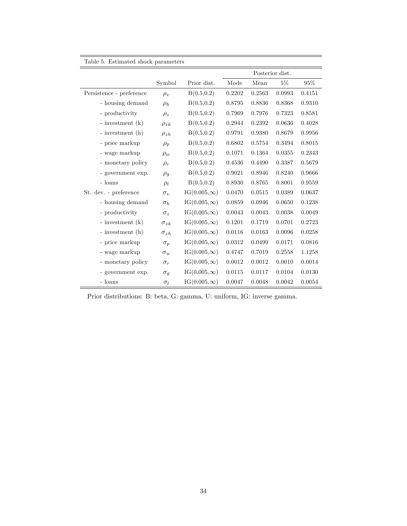| Table 5. Estimated shock parameters |                     |                    |                 |        |        |        |  |
|-------------------------------------|---------------------|--------------------|-----------------|--------|--------|--------|--|
|                                     |                     |                    | Posterior dist. |        |        |        |  |
|                                     | Symbol              | Prior dist.        | Mode            | Mean   | $5\%$  | 95%    |  |
| Persistence - preference            | $\rho_v$            | B(0.5, 0.2)        | 0.2202          | 0.2563 | 0.0993 | 0.4151 |  |
| - housing demand                    | $\rho_h$            | B(0.5, 0.2)        | 0.8795          | 0.8836 | 0.8368 | 0.9310 |  |
| - productivity                      | $\rho_z$            | B(0.5, 0.2)        | 0.7969          | 0.7976 | 0.7323 | 0.8581 |  |
| - investment $(k)$                  | $\rho_{z\bar{k}}$   | B(0.5, 0.2)        | 0.2944          | 0.2392 | 0.0636 | 0.4028 |  |
| - investment (h)                    | $\rho_{zh}$         | B(0.5, 0.2)        | 0.9791          | 0.9380 | 0.8679 | 0.9956 |  |
| - price markup                      | $\rho_p$            | B(0.5, 0.2)        | 0.6802          | 0.5754 | 0.3494 | 0.8015 |  |
| - wage markup                       | $\rho_w$            | B(0.5, 0.2)        | 0.1071          | 0.1364 | 0.0355 | 0.2343 |  |
| - monetary policy                   | $\rho_r$            | B(0.5, 0.2)        | 0.4536          | 0.4490 | 0.3387 | 0.5679 |  |
| - government exp.                   | $\rho_g$            | B(0.5, 0.2)        | 0.9021          | 0.8946 | 0.8240 | 0.9666 |  |
| - loans                             | $\rho_l$            | B(0.5, 0.2)        | 0.8930          | 0.8765 | 0.8001 | 0.9559 |  |
| St. dev. - preference               | $\sigma_v$          | $IG(0.005,\infty)$ | 0.0470          | 0.0515 | 0.0389 | 0.0637 |  |
| - housing demand                    | $\sigma_h$          | $IG(0.005,\infty)$ | 0.0859          | 0.0946 | 0.0650 | 0.1238 |  |
| - productivity                      | $\sigma_z$          | $IG(0.005,\infty)$ | 0.0043          | 0.0043 | 0.0038 | 0.0049 |  |
| - investment $(k)$                  | $\sigma_{z\bar{k}}$ | $IG(0.005,\infty)$ | 0.1201          | 0.1719 | 0.0701 | 0.2723 |  |
| - investment (h)                    | $\sigma_{zh}$       | $IG(0.005,\infty)$ | 0.0116          | 0.0163 | 0.0096 | 0.0258 |  |
| - price markup                      | $\sigma_p$          | $IG(0.005,\infty)$ | 0.0312          | 0.0499 | 0.0171 | 0.0816 |  |
| - wage markup                       | $\sigma_w$          | $IG(0.005,\infty)$ | 0.4747          | 0.7019 | 0.2558 | 1.1258 |  |
| - monetary policy                   | $\sigma_r$          | $IG(0.005,\infty)$ | 0.0012          | 0.0012 | 0.0010 | 0.0014 |  |
| - government exp.                   | $\sigma_g$          | $IG(0.005,\infty)$ | 0.0115          | 0.0117 | 0.0104 | 0.0130 |  |
| - loans                             | $\sigma_l$          | $IG(0.005,\infty)$ | 0.0047          | 0.0048 | 0.0042 | 0.0054 |  |

Prior distributions: B: beta, G: gamma, U: uniform, IG: inverse gamma.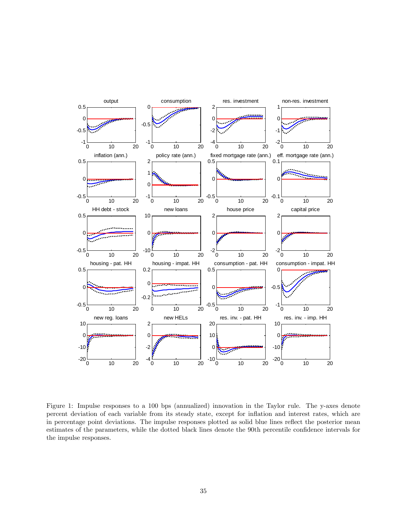

Figure 1: Impulse responses to a 100 bps (annualized) innovation in the Taylor rule. The y-axes denote percent deviation of each variable from its steady state, except for ináation and interest rates, which are in percentage point deviations. The impulse responses plotted as solid blue lines reflect the posterior mean estimates of the parameters, while the dotted black lines denote the 90th percentile confidence intervals for the impulse responses.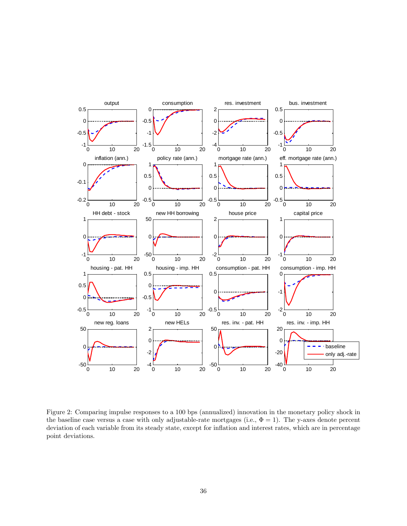

Figure 2: Comparing impulse responses to a 100 bps (annualized) innovation in the monetary policy shock in the baseline case versus a case with only adjustable-rate mortgages (i.e.,  $\Phi = 1$ ). The y-axes denote percent deviation of each variable from its steady state, except for inflation and interest rates, which are in percentage point deviations.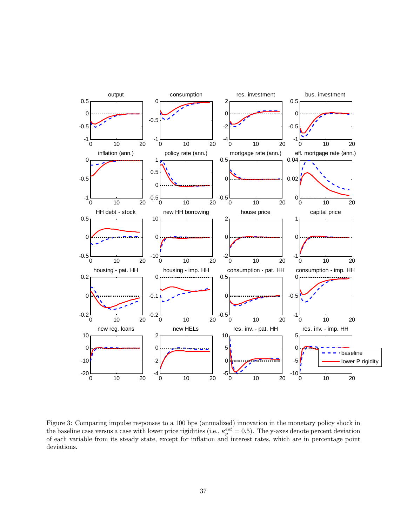

Figure 3: Comparing impulse responses to a 100 bps (annualized) innovation in the monetary policy shock in the baseline case versus a case with lower price rigidities (i.e.,  $\kappa_p^{est} = 0.5$ ). The y-axes denote percent deviation of each variable from its steady state, except for ináation and interest rates, which are in percentage point deviations.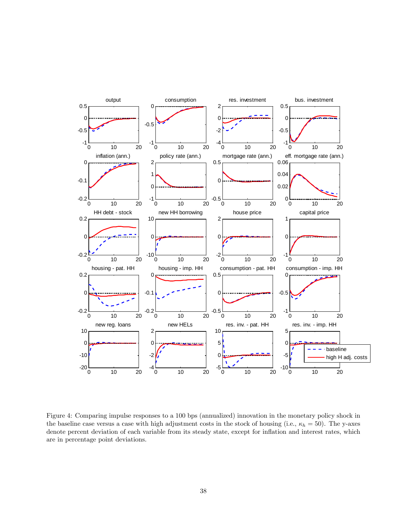

Figure 4: Comparing impulse responses to a 100 bps (annualized) innovation in the monetary policy shock in the baseline case versus a case with high adjustment costs in the stock of housing (i.e.,  $\kappa_h = 50$ ). The y-axes denote percent deviation of each variable from its steady state, except for inflation and interest rates, which are in percentage point deviations.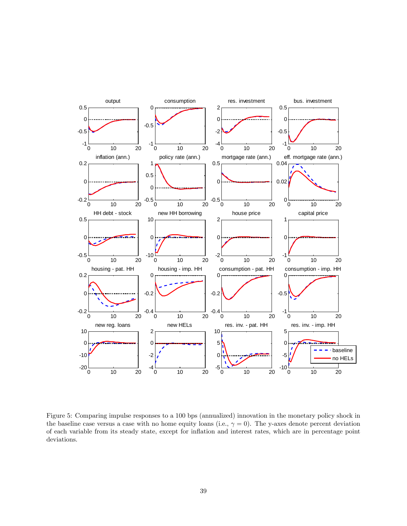

Figure 5: Comparing impulse responses to a 100 bps (annualized) innovation in the monetary policy shock in the baseline case versus a case with no home equity loans (i.e.,  $\gamma = 0$ ). The y-axes denote percent deviation of each variable from its steady state, except for inflation and interest rates, which are in percentage point deviations.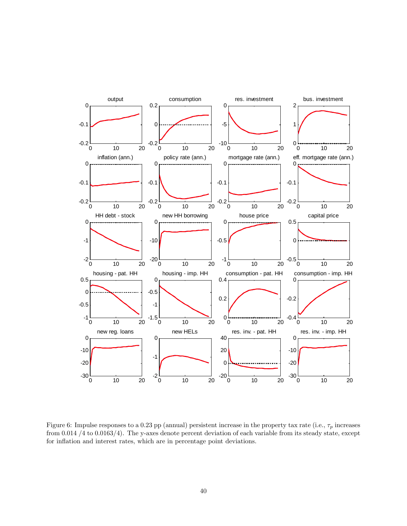

Figure 6: Impulse responses to a 0.23 pp (annual) persistent increase in the property tax rate (i.e.,  $\tau_p$  increases from 0.014 /4 to 0.0163/4). The y-axes denote percent deviation of each variable from its steady state, except for inflation and interest rates, which are in percentage point deviations.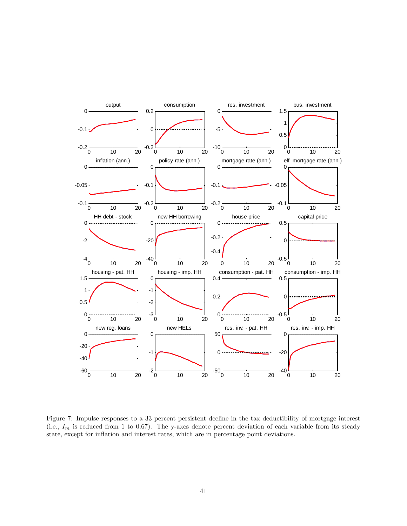

Figure 7: Impulse responses to a 33 percent persistent decline in the tax deductibility of mortgage interest (i.e.,  $I_m$  is reduced from 1 to 0.67). The y-axes denote percent deviation of each variable from its steady state, except for inflation and interest rates, which are in percentage point deviations.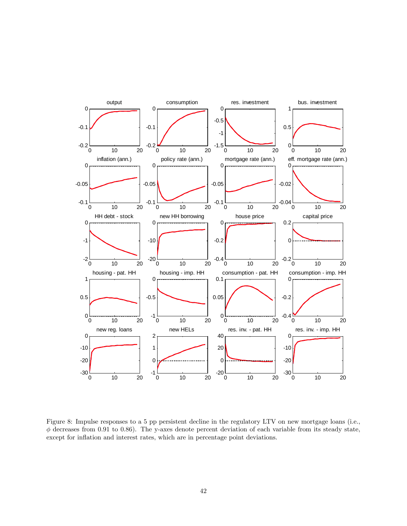

Figure 8: Impulse responses to a 5 pp persistent decline in the regulatory LTV on new mortgage loans (i.e.,  $\phi$  decreases from 0.91 to 0.86). The y-axes denote percent deviation of each variable from its steady state, except for inflation and interest rates, which are in percentage point deviations.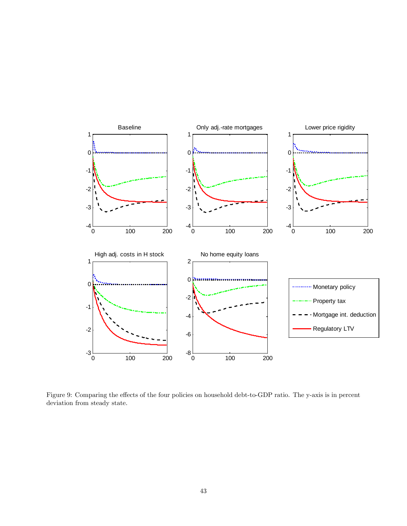

Figure 9: Comparing the effects of the four policies on household debt-to-GDP ratio. The y-axis is in percent deviation from steady state.